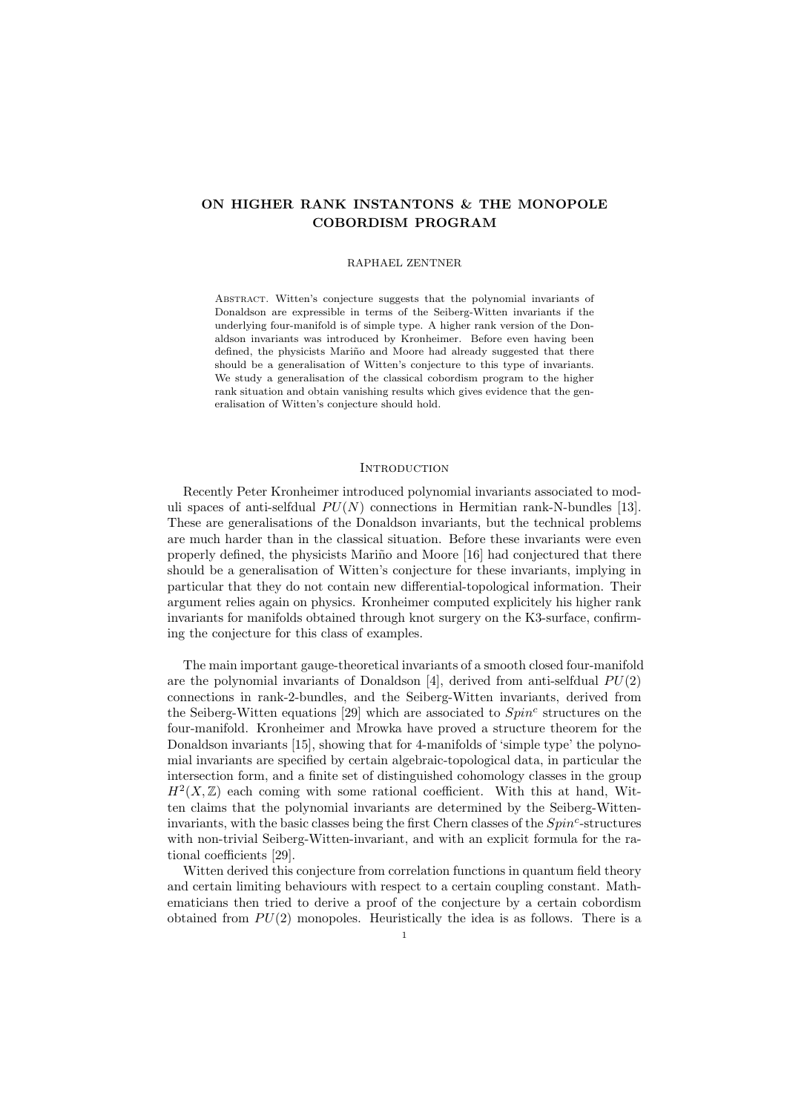# ON HIGHER RANK INSTANTONS & THE MONOPOLE COBORDISM PROGRAM

#### RAPHAEL ZENTNER

Abstract. Witten's conjecture suggests that the polynomial invariants of Donaldson are expressible in terms of the Seiberg-Witten invariants if the underlying four-manifold is of simple type. A higher rank version of the Donaldson invariants was introduced by Kronheimer. Before even having been defined, the physicists Mariño and Moore had already suggested that there should be a generalisation of Witten's conjecture to this type of invariants. We study a generalisation of the classical cobordism program to the higher rank situation and obtain vanishing results which gives evidence that the generalisation of Witten's conjecture should hold.

## **INTRODUCTION**

Recently Peter Kronheimer introduced polynomial invariants associated to moduli spaces of anti-selfdual  $PU(N)$  connections in Hermitian rank-N-bundles [13]. These are generalisations of the Donaldson invariants, but the technical problems are much harder than in the classical situation. Before these invariants were even properly defined, the physicists Mariño and Moore [16] had conjectured that there should be a generalisation of Witten's conjecture for these invariants, implying in particular that they do not contain new differential-topological information. Their argument relies again on physics. Kronheimer computed explicitely his higher rank invariants for manifolds obtained through knot surgery on the K3-surface, confirming the conjecture for this class of examples.

The main important gauge-theoretical invariants of a smooth closed four-manifold are the polynomial invariants of Donaldson [4], derived from anti-selfdual  $PU(2)$ connections in rank-2-bundles, and the Seiberg-Witten invariants, derived from the Seiberg-Witten equations [29] which are associated to  $Spin<sup>c</sup>$  structures on the four-manifold. Kronheimer and Mrowka have proved a structure theorem for the Donaldson invariants [15], showing that for 4-manifolds of 'simple type' the polynomial invariants are specified by certain algebraic-topological data, in particular the intersection form, and a finite set of distinguished cohomology classes in the group  $H<sup>2</sup>(X, \mathbb{Z})$  each coming with some rational coefficient. With this at hand, Witten claims that the polynomial invariants are determined by the Seiberg-Witteninvariants, with the basic classes being the first Chern classes of the  $Spin<sup>c</sup>$ -structures with non-trivial Seiberg-Witten-invariant, and with an explicit formula for the rational coefficients [29].

Witten derived this conjecture from correlation functions in quantum field theory and certain limiting behaviours with respect to a certain coupling constant. Mathematicians then tried to derive a proof of the conjecture by a certain cobordism obtained from  $PU(2)$  monopoles. Heuristically the idea is as follows. There is a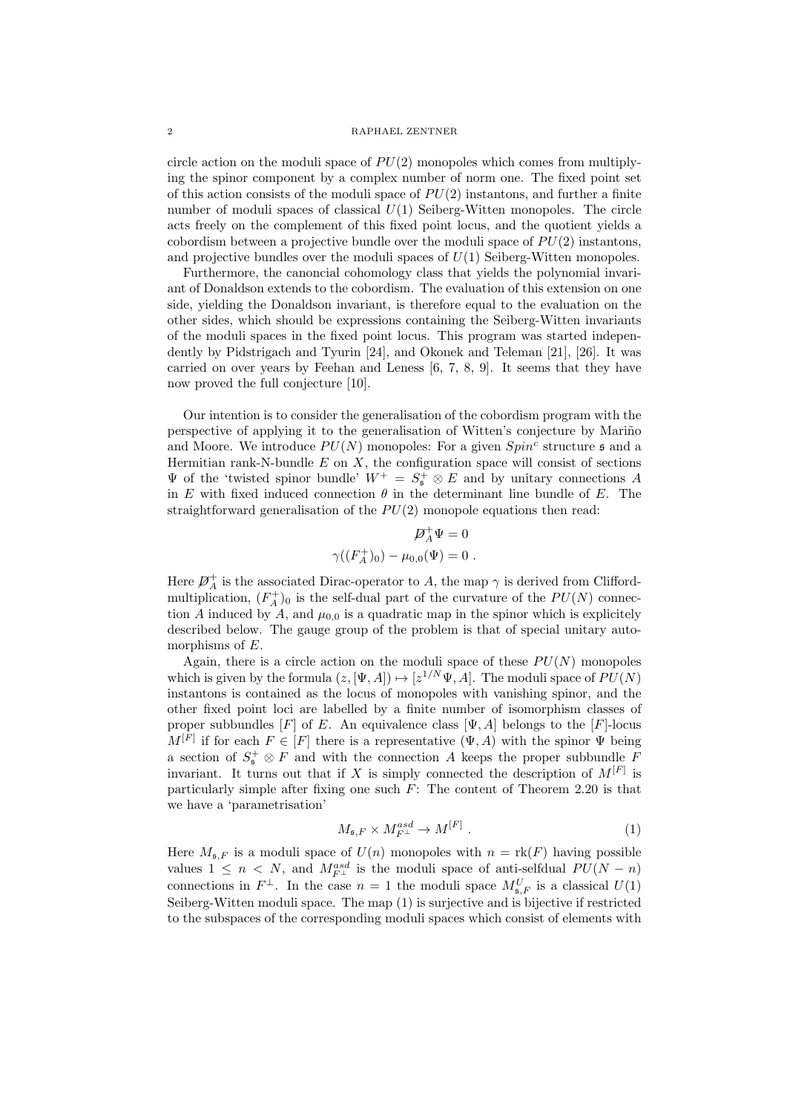circle action on the moduli space of  $PU(2)$  monopoles which comes from multiplying the spinor component by a complex number of norm one. The fixed point set of this action consists of the moduli space of  $PU(2)$  instantons, and further a finite number of moduli spaces of classical  $U(1)$  Seiberg-Witten monopoles. The circle acts freely on the complement of this fixed point locus, and the quotient yields a cobordism between a projective bundle over the moduli space of  $PU(2)$  instantons, and projective bundles over the moduli spaces of  $U(1)$  Seiberg-Witten monopoles.

Furthermore, the canoncial cohomology class that yields the polynomial invariant of Donaldson extends to the cobordism. The evaluation of this extension on one side, yielding the Donaldson invariant, is therefore equal to the evaluation on the other sides, which should be expressions containing the Seiberg-Witten invariants of the moduli spaces in the fixed point locus. This program was started independently by Pidstrigach and Tyurin [24], and Okonek and Teleman [21], [26]. It was carried on over years by Feehan and Leness [6, 7, 8, 9]. It seems that they have now proved the full conjecture [10].

Our intention is to consider the generalisation of the cobordism program with the perspective of applying it to the generalisation of Witten's conjecture by Mariño and Moore. We introduce  $PU(N)$  monopoles: For a given  $Spin<sup>c</sup>$  structure  $\mathfrak s$  and a Hermitian rank-N-bundle  $E$  on  $X$ , the configuration space will consist of sections  $\Psi$  of the 'twisted spinor bundle'  $W^+ = S^+$   $\otimes E$  and by unitary connections A in E with fixed induced connection  $\theta$  in the determinant line bundle of E. The straightforward generalisation of the  $PU(2)$  monopole equations then read:

$$
\mathcal{D}_A^+ \Psi = 0
$$
  

$$
\gamma((F_A^+)_0) - \mu_{0,0}(\Psi) = 0.
$$

Here  $\mathcal{P}_{A}^{+}$  is the associated Dirac-operator to A, the map  $\gamma$  is derived from Cliffordmultiplication,  $(F_A^+)_0$  is the self-dual part of the curvature of the  $PU(N)$  connection A induced by A, and  $\mu_{0,0}$  is a quadratic map in the spinor which is explicitely described below. The gauge group of the problem is that of special unitary automorphisms of  $E$ .

Again, there is a circle action on the moduli space of these  $PU(N)$  monopoles which is given by the formula  $(z, [\Psi, A]) \mapsto [z^{1/N} \Psi, A]$ . The moduli space of  $PU(N)$ instantons is contained as the locus of monopoles with vanishing spinor, and the other fixed point loci are labelled by a finite number of isomorphism classes of proper subbundles [F] of E. An equivalence class  $[\Psi, A]$  belongs to the [F]-locus  $M^{[F]}$  if for each  $F \in [F]$  there is a representative  $(\Psi, A)$  with the spinor  $\Psi$  being a section of  $S^{\pm}_{\mathfrak{s}} \otimes F$  and with the connection A keeps the proper subbundle F invariant. It turns out that if X is simply connected the description of  $M^{[F]}$  is particularly simple after fixing one such  $F$ : The content of Theorem 2.20 is that we have a 'parametrisation'

$$
M_{\mathfrak{s},F} \times M_{F^{\perp}}^{asd} \to M^{[F]} \tag{1}
$$

Here  $M_{\mathfrak{s},F}$  is a moduli space of  $U(n)$  monopoles with  $n = \text{rk}(F)$  having possible values  $1 \leq n \leq N$ , and  $M_{F^{\perp}}^{asd}$  is the moduli space of anti-selfdual  $PU(N - n)$ connections in  $F^{\perp}$ . In the case  $n=1$  the moduli space  $M_{\mathfrak{s},F}^U$  is a classical  $U(1)$ Seiberg-Witten moduli space. The map (1) is surjective and is bijective if restricted to the subspaces of the corresponding moduli spaces which consist of elements with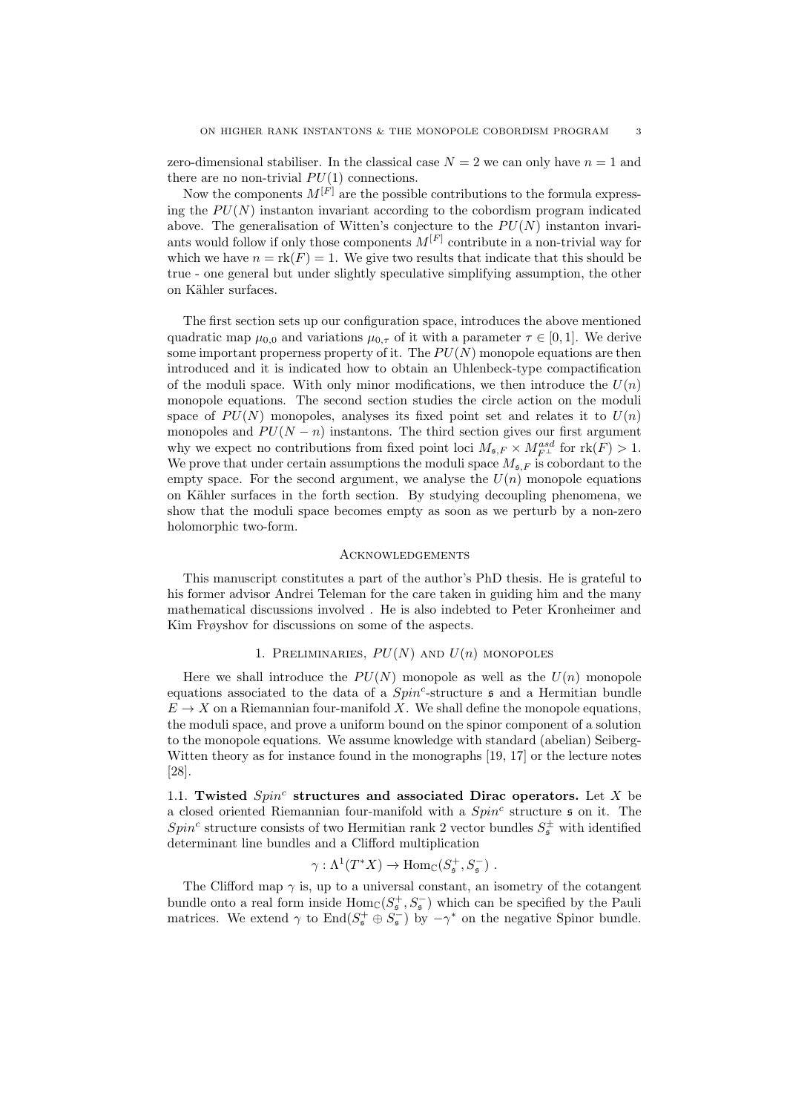zero-dimensional stabiliser. In the classical case  $N = 2$  we can only have  $n = 1$  and there are no non-trivial  $PU(1)$  connections.

Now the components  $M^{[F]}$  are the possible contributions to the formula expressing the  $PU(N)$  instanton invariant according to the cobordism program indicated above. The generalisation of Witten's conjecture to the  $PU(N)$  instanton invariants would follow if only those components  $M^{[F]}$  contribute in a non-trivial way for which we have  $n = \text{rk}(F) = 1$ . We give two results that indicate that this should be true - one general but under slightly speculative simplifying assumption, the other on Kähler surfaces.

The first section sets up our configuration space, introduces the above mentioned quadratic map  $\mu_{0,0}$  and variations  $\mu_{0,\tau}$  of it with a parameter  $\tau \in [0,1]$ . We derive some important properness property of it. The  $PU(N)$  monopole equations are then introduced and it is indicated how to obtain an Uhlenbeck-type compactification of the moduli space. With only minor modifications, we then introduce the  $U(n)$ monopole equations. The second section studies the circle action on the moduli space of  $PU(N)$  monopoles, analyses its fixed point set and relates it to  $U(n)$ monopoles and  $PU(N - n)$  instantons. The third section gives our first argument why we expect no contributions from fixed point loci  $M_{\mathfrak{s},F} \times M^{asd}_{F^{\perp}}$  for  $\text{rk}(F) > 1$ . We prove that under certain assumptions the moduli space  $M_{\mathfrak{s},F}$  is cobordant to the empty space. For the second argument, we analyse the  $U(n)$  monopole equations on Kähler surfaces in the forth section. By studying decoupling phenomena, we show that the moduli space becomes empty as soon as we perturb by a non-zero holomorphic two-form.

### **ACKNOWLEDGEMENTS**

This manuscript constitutes a part of the author's PhD thesis. He is grateful to his former advisor Andrei Teleman for the care taken in guiding him and the many mathematical discussions involved . He is also indebted to Peter Kronheimer and Kim Frøyshov for discussions on some of the aspects.

## 1. PRELIMINARIES,  $PU(N)$  AND  $U(n)$  MONOPOLES

Here we shall introduce the  $PU(N)$  monopole as well as the  $U(n)$  monopole equations associated to the data of a  $Spin^c$ -structure  $\mathfrak s$  and a Hermitian bundle  $E \to X$  on a Riemannian four-manifold X. We shall define the monopole equations. the moduli space, and prove a uniform bound on the spinor component of a solution to the monopole equations. We assume knowledge with standard (abelian) Seiberg-Witten theory as for instance found in the monographs [19, 17] or the lecture notes [28].

1.1. Twisted  $Spin<sup>c</sup>$  structures and associated Dirac operators. Let X be a closed oriented Riemannian four-manifold with a  $Spin<sup>c</sup>$  structure  $\mathfrak s$  on it. The  $Spin<sup>c</sup>$  structure consists of two Hermitian rank 2 vector bundles  $S^{\pm}_{\mathfrak{s}}$  with identified determinant line bundles and a Clifford multiplication

$$
\gamma: \Lambda^1(T^*X) \to \text{Hom}_{\mathbb{C}}(S^+_{\mathfrak{s}}, S^-_{\mathfrak{s}}) .
$$

The Clifford map  $\gamma$  is, up to a universal constant, an isometry of the cotangent bundle onto a real form inside  $\text{Hom}_{\mathbb{C}}(S^+_{\mathfrak{s}},S^-_{\mathfrak{s}})$  which can be specified by the Pauli matrices. We extend  $\gamma$  to  $\text{End}(S^+_{\mathfrak{s}} \oplus S^-_{\mathfrak{s}})$  by  $-\gamma^*$  on the negative Spinor bundle.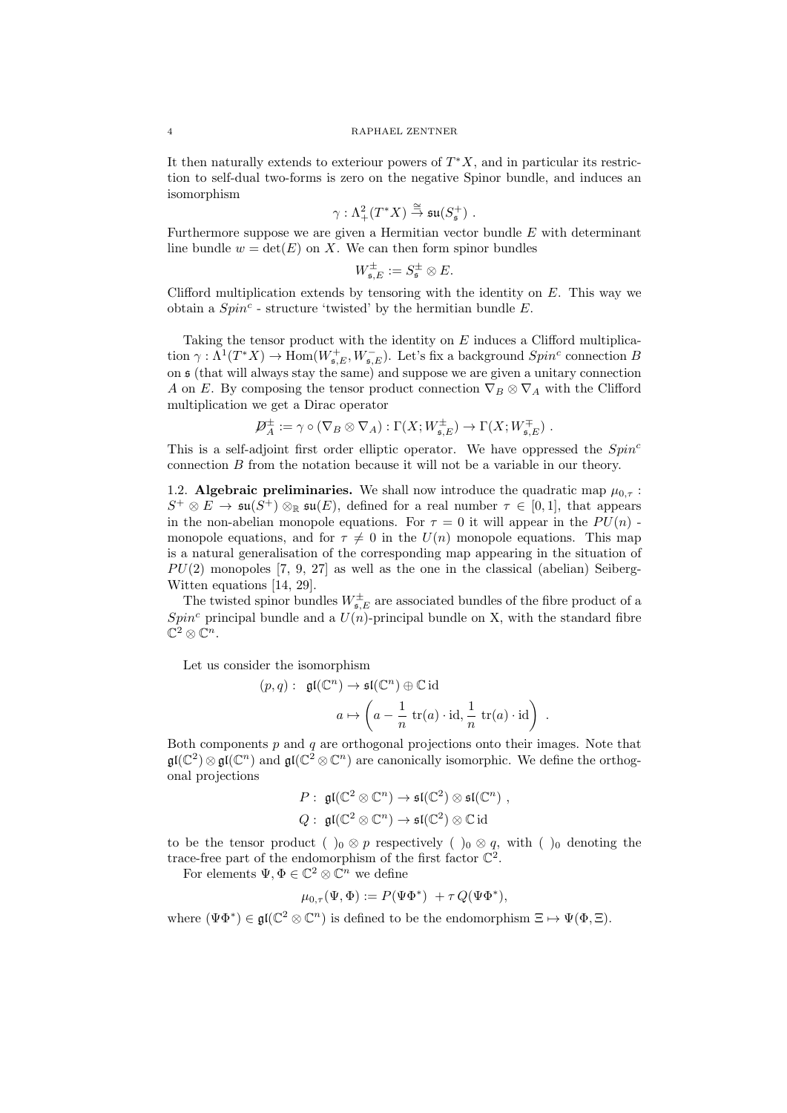It then naturally extends to exteriour powers of  $T^*X$ , and in particular its restriction to self-dual two-forms is zero on the negative Spinor bundle, and induces an isomorphism

$$
\gamma: \Lambda^2_+(T^*X) \stackrel{\cong}{\to} \mathfrak{su}(S_{\mathfrak{s}}^+) .
$$

Furthermore suppose we are given a Hermitian vector bundle  $E$  with determinant line bundle  $w = det(E)$  on X. We can then form spinor bundles

$$
W_{\mathfrak{s},E}^{\pm}:=S_{\mathfrak{s}}^{\pm}\otimes E.
$$

Clifford multiplication extends by tensoring with the identity on  $E$ . This way we obtain a  $Spin<sup>c</sup>$  - structure 'twisted' by the hermitian bundle E.

Taking the tensor product with the identity on E induces a Clifford multiplication  $\gamma: \Lambda^1(T^*X) \to \text{Hom}(W^+_{\mathfrak{s},E}, W^-_{\mathfrak{s},E})$ . Let's fix a background  $Spin^c$  connection B on s (that will always stay the same) and suppose we are given a unitary connection A on E. By composing the tensor product connection  $\nabla_B \otimes \nabla_A$  with the Clifford multiplication we get a Dirac operator

$$
\mathcal{D}_A^{\pm} := \gamma \circ (\nabla_B \otimes \nabla_A) : \Gamma(X; W_{\mathfrak{s}, E}^{\pm}) \to \Gamma(X; W_{\mathfrak{s}, E}^{\mp}) \ .
$$

This is a self-adjoint first order elliptic operator. We have oppressed the  $Spin<sup>c</sup>$ connection B from the notation because it will not be a variable in our theory.

1.2. Algebraic preliminaries. We shall now introduce the quadratic map  $\mu_{0,\tau}$ :  $S^+ \otimes E \to \mathfrak{su}(S^+) \otimes_{\mathbb{R}} \mathfrak{su}(E)$ , defined for a real number  $\tau \in [0,1]$ , that appears in the non-abelian monopole equations. For  $\tau = 0$  it will appear in the  $PU(n)$ . monopole equations, and for  $\tau \neq 0$  in the  $U(n)$  monopole equations. This map is a natural generalisation of the corresponding map appearing in the situation of  $PU(2)$  monopoles [7, 9, 27] as well as the one in the classical (abelian) Seiberg-Witten equations [14, 29].

The twisted spinor bundles  $W_{\mathfrak{s},E}^{\pm}$  are associated bundles of the fibre product of a  $Spin<sup>c</sup>$  principal bundle and a  $U(n)$ -principal bundle on X, with the standard fibre  $\mathbb{C}^2\otimes \mathbb{C}^n$ .

Let us consider the isomorphism

$$
(p,q): \mathfrak{gl}(\mathbb{C}^n) \to \mathfrak{sl}(\mathbb{C}^n) \oplus \mathbb{C} \mathrm{id}
$$

$$
a \mapsto \left(a - \frac{1}{n} \operatorname{tr}(a) \cdot \operatorname{id}, \frac{1}{n} \operatorname{tr}(a) \cdot \operatorname{id} \right) .
$$

Both components  $p$  and  $q$  are orthogonal projections onto their images. Note that  $\mathfrak{gl}(\mathbb{C}^2) \otimes \mathfrak{gl}(\mathbb{C}^n)$  and  $\mathfrak{gl}(\mathbb{C}^2 \otimes \mathbb{C}^n)$  are canonically isomorphic. We define the orthogonal projections

$$
P: \mathfrak{gl}(\mathbb{C}^2 \otimes \mathbb{C}^n) \to \mathfrak{sl}(\mathbb{C}^2) \otimes \mathfrak{sl}(\mathbb{C}^n) ,
$$
  

$$
Q: \mathfrak{gl}(\mathbb{C}^2 \otimes \mathbb{C}^n) \to \mathfrak{sl}(\mathbb{C}^2) \otimes \mathbb{C} \mathrm{id}
$$

to be the tensor product ( )<sub>0</sub> ⊗ p respectively ( )<sub>0</sub> ⊗ q, with ( )<sub>0</sub> denoting the trace-free part of the endomorphism of the first factor  $\mathbb{C}^2$ .

For elements  $\Psi, \Phi \in \mathbb{C}^2 \otimes \mathbb{C}^n$  we define

$$
\mu_{0,\tau}(\Psi,\Phi) := P(\Psi\Phi^*) + \tau Q(\Psi\Phi^*),
$$

where  $(\Psi \Phi^*) \in \mathfrak{gl}(\mathbb{C}^2 \otimes \mathbb{C}^n)$  is defined to be the endomorphism  $\Xi \mapsto \Psi(\Phi, \Xi)$ .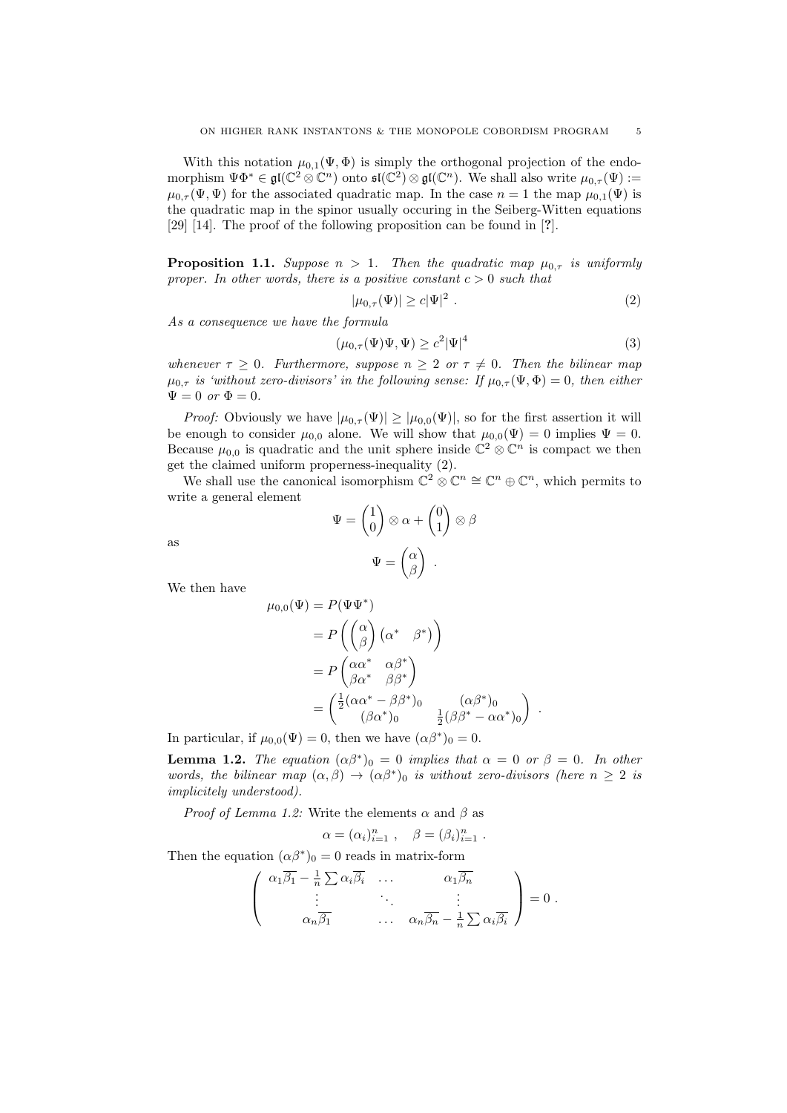With this notation  $\mu_{0,1}(\Psi,\Phi)$  is simply the orthogonal projection of the endomorphism  $\Psi\Phi^*\in\mathfrak{gl}(\mathbb{C}^2\otimes \mathbb{C}^n)$  onto  $\mathfrak{sl}(\mathbb{C}^2)\otimes\mathfrak{gl}(\mathbb{C}^n)$ . We shall also write  $\mu_{0,\tau}(\Psi):=$  $\mu_{0,\tau}(\Psi,\Psi)$  for the associated quadratic map. In the case  $n=1$  the map  $\mu_{0,1}(\Psi)$  is the quadratic map in the spinor usually occuring in the Seiberg-Witten equations [29] [14]. The proof of the following proposition can be found in [?].

**Proposition 1.1.** Suppose  $n > 1$ . Then the quadratic map  $\mu_{0,\tau}$  is uniformly proper. In other words, there is a positive constant  $c > 0$  such that

$$
|\mu_{0,\tau}(\Psi)| \ge c|\Psi|^2 \tag{2}
$$

As a consequence we have the formula

$$
(\mu_{0,\tau}(\Psi)\Psi,\Psi) \ge c^2 |\Psi|^4 \tag{3}
$$

.

whenever  $\tau \geq 0$ . Furthermore, suppose  $n \geq 2$  or  $\tau \neq 0$ . Then the bilinear map  $\mu_{0,\tau}$  is 'without zero-divisors' in the following sense: If  $\mu_{0,\tau}(\Psi,\Phi)=0$ , then either  $\Psi = 0$  or  $\Phi = 0$ .

*Proof:* Obviously we have  $|\mu_{0,\tau}(\Psi)| \geq |\mu_{0,0}(\Psi)|$ , so for the first assertion it will be enough to consider  $\mu_{0,0}$  alone. We will show that  $\mu_{0,0}(\Psi) = 0$  implies  $\Psi = 0$ . Because  $\mu_{0,0}$  is quadratic and the unit sphere inside  $\mathbb{C}^2 \otimes \mathbb{C}^n$  is compact we then get the claimed uniform properness-inequality (2).

We shall use the canonical isomorphism  $\mathbb{C}^2 \otimes \mathbb{C}^n \cong \mathbb{C}^n \oplus \mathbb{C}^n$ , which permits to write a general element

$$
\Psi = \begin{pmatrix} 1 \\ 0 \end{pmatrix} \otimes \alpha + \begin{pmatrix} 0 \\ 1 \end{pmatrix} \otimes \beta
$$

$$
\Psi = \begin{pmatrix} \alpha \\ \beta \end{pmatrix} .
$$

We then have

as

$$
\mu_{0,0}(\Psi) = P(\Psi \Psi^*)
$$
  
=  $P\left(\begin{pmatrix} \alpha \\ \beta \end{pmatrix} (\alpha^* \quad \beta^*)\right)$   
=  $P\left(\begin{matrix} \alpha\alpha^* & \alpha\beta^* \\ \beta\alpha^* & \beta\beta^* \end{matrix}\right)$   
=  $\left(\begin{matrix} \frac{1}{2}(\alpha\alpha^* - \beta\beta^*)_0 & (\alpha\beta^*)_0 \\ (\beta\alpha^*)_0 & \frac{1}{2}(\beta\beta^* - \alpha\alpha^*)_0 \end{matrix}\right)$ 

In particular, if  $\mu_{0,0}(\Psi) = 0$ , then we have  $(\alpha \beta^*)_0 = 0$ .

**Lemma 1.2.** The equation  $(\alpha \beta^*)_0 = 0$  implies that  $\alpha = 0$  or  $\beta = 0$ . In other words, the bilinear map  $(\alpha, \beta) \rightarrow (\alpha \beta^*)_0$  is without zero-divisors (here  $n \geq 2$  is implicitely understood).

*Proof of Lemma 1.2:* Write the elements  $\alpha$  and  $\beta$  as

$$
\alpha = (\alpha_i)_{i=1}^n , \quad \beta = (\beta_i)_{i=1}^n .
$$

Then the equation  $(\alpha \beta^*)_0 = 0$  reads in matrix-form

$$
\begin{pmatrix}\n\alpha_1 \overline{\beta_1} - \frac{1}{n} \sum \alpha_i \overline{\beta_i} & \dots & \alpha_1 \overline{\beta_n} \\
\vdots & \ddots & \vdots \\
\alpha_n \overline{\beta_1} & \dots & \alpha_n \overline{\beta_n} - \frac{1}{n} \sum \alpha_i \overline{\beta_i}\n\end{pmatrix} = 0.
$$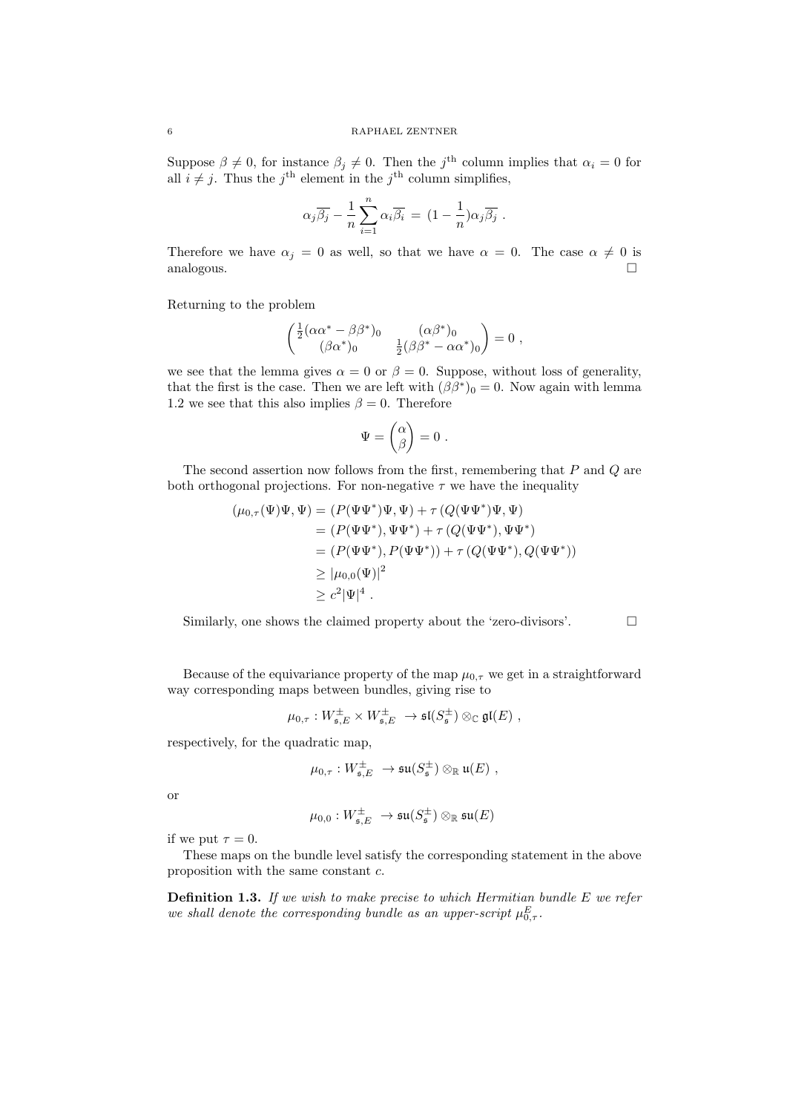Suppose  $\beta \neq 0$ , for instance  $\beta_j \neq 0$ . Then the j<sup>th</sup> column implies that  $\alpha_i = 0$  for all  $i \neq j$ . Thus the j<sup>th</sup> element in the j<sup>th</sup> column simplifies,

$$
\alpha_j \overline{\beta_j} - \frac{1}{n} \sum_{i=1}^n \alpha_i \overline{\beta_i} = (1 - \frac{1}{n}) \alpha_j \overline{\beta_j} .
$$

Therefore we have  $\alpha_j = 0$  as well, so that we have  $\alpha = 0$ . The case  $\alpha \neq 0$  is analogous.

Returning to the problem

$$
\begin{pmatrix} \frac{1}{2}(\alpha\alpha^* - \beta\beta^*)_{0} & (\alpha\beta^*)_{0} \\ (\beta\alpha^*)_{0} & \frac{1}{2}(\beta\beta^* - \alpha\alpha^*)_{0} \end{pmatrix} = 0 ,
$$

we see that the lemma gives  $\alpha = 0$  or  $\beta = 0$ . Suppose, without loss of generality, that the first is the case. Then we are left with  $(\beta \beta^*)_0 = 0$ . Now again with lemma 1.2 we see that this also implies  $\beta = 0$ . Therefore

$$
\Psi = \begin{pmatrix} \alpha \\ \beta \end{pmatrix} = 0 \ .
$$

The second assertion now follows from the first, remembering that  $P$  and  $Q$  are both orthogonal projections. For non-negative  $\tau$  we have the inequality

$$
(\mu_{0,\tau}(\Psi)\Psi, \Psi) = (P(\Psi\Psi^*)\Psi, \Psi) + \tau (Q(\Psi\Psi^*)\Psi, \Psi)
$$
  
\n
$$
= (P(\Psi\Psi^*), \Psi\Psi^*) + \tau (Q(\Psi\Psi^*), \Psi\Psi^*)
$$
  
\n
$$
= (P(\Psi\Psi^*), P(\Psi\Psi^*)) + \tau (Q(\Psi\Psi^*), Q(\Psi\Psi^*))
$$
  
\n
$$
\geq |\mu_{0,0}(\Psi)|^2
$$
  
\n
$$
\geq c^2 |\Psi|^4.
$$

Similarly, one shows the claimed property about the 'zero-divisors'.  $\Box$ 

Because of the equivariance property of the map  $\mu_0$ <sub>τ</sub> we get in a straightforward way corresponding maps between bundles, giving rise to

$$
\mu_{0,\tau}: W^{\pm}_{\mathfrak{s},E} \times W^{\pm}_{\mathfrak{s},E} \to \mathfrak{sl}(S^{\pm}_{\mathfrak{s}}) \otimes_{\mathbb{C}} \mathfrak{gl}(E) ,
$$

respectively, for the quadratic map,

$$
\mu_{0,\tau}: W_{\mathfrak{s},E}^{\pm} \ \to \mathfrak{su}(S_{\mathfrak{s}}^{\pm}) \otimes_{\mathbb{R}} \mathfrak{u}(E) \ ,
$$

or

$$
\mu_{0,0}: W_{\mathfrak{s},E}^{\pm} \; \to \mathfrak{su}(S_{\mathfrak{s}}^{\pm}) \otimes_{\mathbb{R}} \mathfrak{su}(E)
$$

if we put  $\tau = 0$ .

These maps on the bundle level satisfy the corresponding statement in the above proposition with the same constant c.

**Definition 1.3.** If we wish to make precise to which Hermitian bundle  $E$  we refer we shall denote the corresponding bundle as an upper-script  $\mu_{0,\tau}^E$ .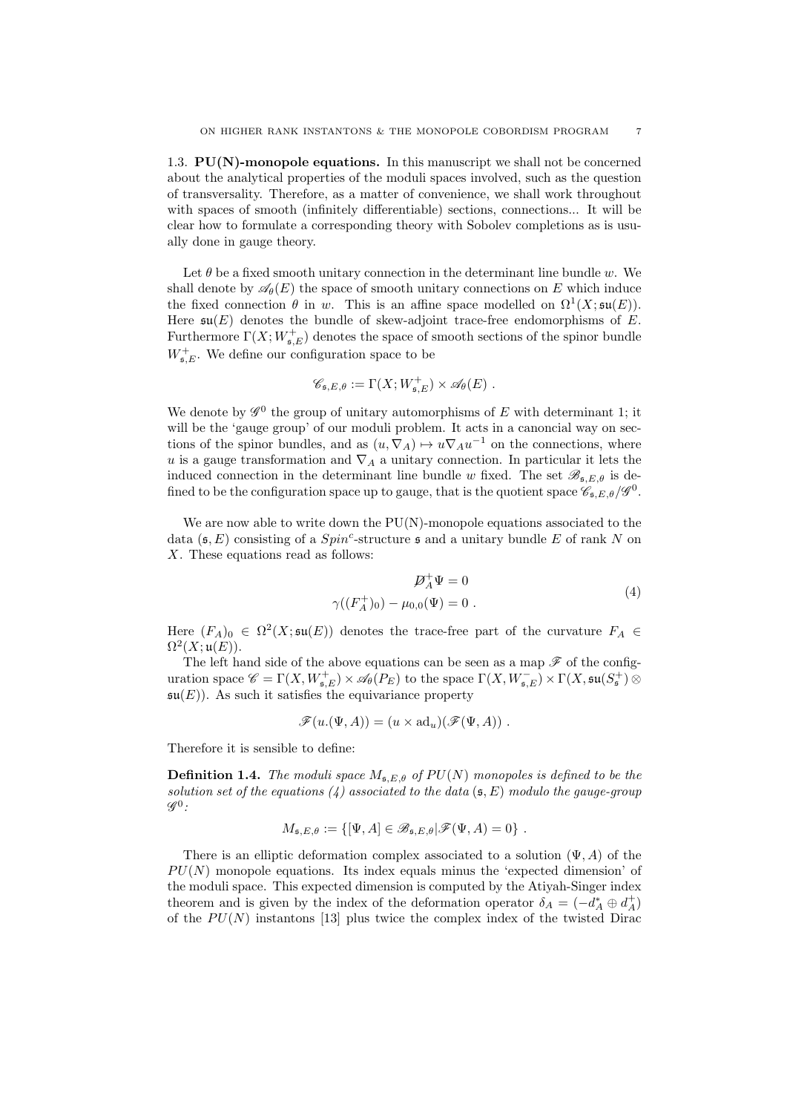1.3.  $PU(N)$ -monopole equations. In this manuscript we shall not be concerned about the analytical properties of the moduli spaces involved, such as the question of transversality. Therefore, as a matter of convenience, we shall work throughout with spaces of smooth (infinitely differentiable) sections, connections... It will be clear how to formulate a corresponding theory with Sobolev completions as is usually done in gauge theory.

Let  $\theta$  be a fixed smooth unitary connection in the determinant line bundle w. We shall denote by  $\mathscr{A}_{\theta}(E)$  the space of smooth unitary connections on E which induce the fixed connection  $\theta$  in w. This is an affine space modelled on  $\Omega^1(X; \mathfrak{su}(E)).$ Here  $\mathfrak{su}(E)$  denotes the bundle of skew-adjoint trace-free endomorphisms of E. Furthermore  $\Gamma(X; W_{\mathfrak{s},E}^+)$  denotes the space of smooth sections of the spinor bundle  $W_{\mathfrak{s},E}^+$ . We define our configuration space to be

$$
\mathscr{C}_{\mathfrak{s},E,\theta} := \Gamma(X;W^+_{\mathfrak{s},E}) \times \mathscr{A}_{\theta}(E) .
$$

We denote by  $\mathscr{G}^0$  the group of unitary automorphisms of E with determinant 1; it will be the 'gauge group' of our moduli problem. It acts in a canoncial way on sections of the spinor bundles, and as  $(u, \nabla_A) \mapsto u \nabla_A u^{-1}$  on the connections, where u is a gauge transformation and  $\nabla_A$  a unitary connection. In particular it lets the induced connection in the determinant line bundle w fixed. The set  $\mathscr{B}_{\mathfrak{s},E,\theta}$  is defined to be the configuration space up to gauge, that is the quotient space  $\mathscr{C}_{\mathfrak{s},E,\theta}/\mathscr{G}^0$ .

We are now able to write down the  $PU(N)$ -monopole equations associated to the data  $(\mathfrak{s}, E)$  consisting of a  $Spin^c$ -structure  $\mathfrak{s}$  and a unitary bundle E of rank N on X. These equations read as follows:

$$
\mathcal{D}_A^+ \Psi = 0
$$
  

$$
\gamma((F_A^+)_0) - \mu_{0,0}(\Psi) = 0.
$$
 (4)

Here  $(F_A)_0 \in \Omega^2(X;\mathfrak{su}(E))$  denotes the trace-free part of the curvature  $F_A \in$  $\Omega^2(X;\mathfrak{u}(E)).$ 

The left hand side of the above equations can be seen as a map  $\mathscr F$  of the configuration space  $\mathscr{C} = \Gamma(X, W^+_{\mathfrak{s},E}) \times \mathscr{A}_{\theta}(P_E)$  to the space  $\Gamma(X, W^-_{\mathfrak{s},E}) \times \Gamma(X, \mathfrak{su}(S^+_{\mathfrak{s}}) \otimes$  $\mathfrak{su}(E)$ . As such it satisfies the equivariance property

$$
\mathscr{F}(u.(\Psi,A))=(u\times \mathrm{ad}_u)(\mathscr{F}(\Psi,A))\ .
$$

Therefore it is sensible to define:

**Definition 1.4.** The moduli space  $M_{\mathfrak{s},E,\theta}$  of  $PU(N)$  monopoles is defined to be the solution set of the equations  $(4)$  associated to the data  $(5, E)$  modulo the gauge-group  $\mathscr{G}^0$ :

$$
M_{\mathfrak{s},E,\theta} := \{ [\Psi, A] \in \mathscr{B}_{\mathfrak{s},E,\theta} | \mathscr{F}(\Psi, A) = 0 \} .
$$

There is an elliptic deformation complex associated to a solution  $(\Psi, A)$  of the  $PU(N)$  monopole equations. Its index equals minus the 'expected dimension' of the moduli space. This expected dimension is computed by the Atiyah-Singer index theorem and is given by the index of the deformation operator  $\delta_A = (-d_A^* \oplus d_A^+)$ of the  $PU(N)$  instantons [13] plus twice the complex index of the twisted Dirac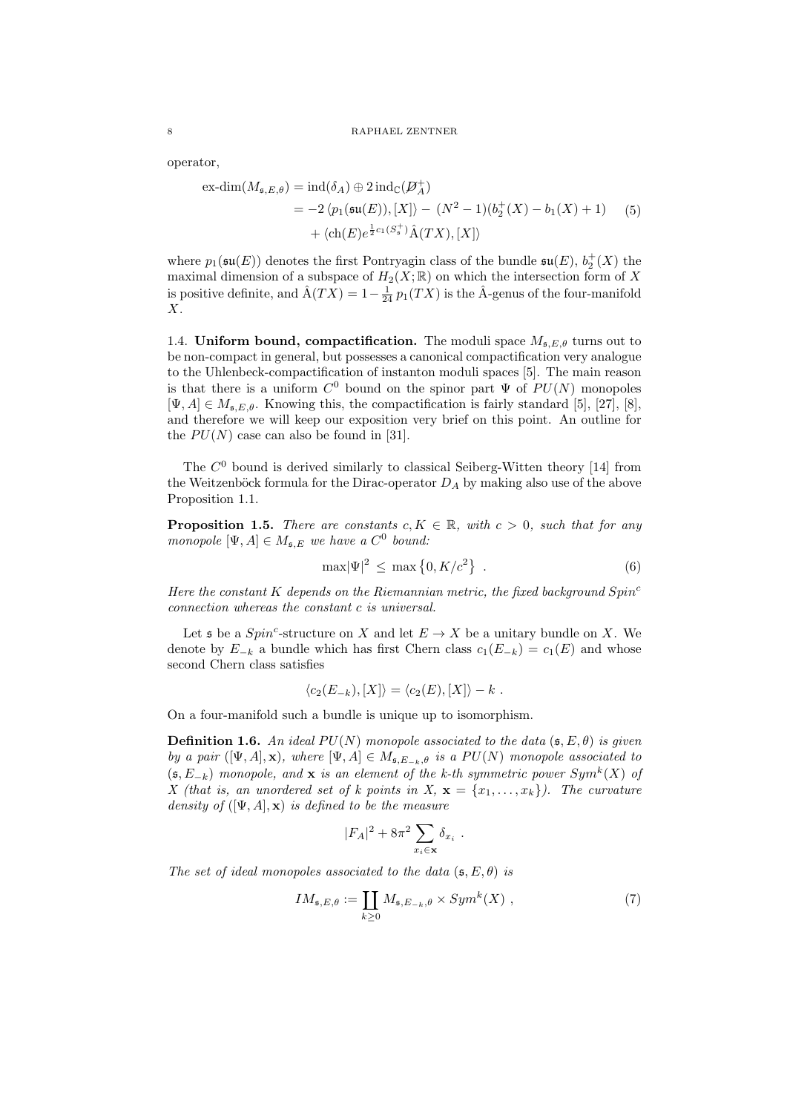operator,

$$
\begin{aligned} \text{ex-dim}(M_{\mathfrak{s},E,\theta}) &= \text{ind}(\delta_A) \oplus 2 \,\text{ind}_{\mathbb{C}}(\mathcal{D}_A^+) \\ &= -2 \, \langle p_1(\mathfrak{su}(E)), [X] \rangle - (N^2 - 1)(b_2^+(X) - b_1(X) + 1) \\ &\quad + \langle \text{ch}(E)e^{\frac{1}{2}c_1(S_{\mathfrak{s}}^+)}\hat{A}(TX), [X] \rangle \end{aligned} \tag{5}
$$

where  $p_1(\mathfrak{su}(E))$  denotes the first Pontryagin class of the bundle  $\mathfrak{su}(E)$ ,  $b_2^+(X)$  the maximal dimension of a subspace of  $H_2(X;\mathbb{R})$  on which the intersection form of X is positive definite, and  $\hat{A}(TX) = 1 - \frac{1}{24} p_1(TX)$  is the  $\hat{A}$ -genus of the four-manifold  $X<sub>l</sub>$ 

1.4. Uniform bound, compactification. The moduli space  $M_{\rm s,Eq}$  turns out to be non-compact in general, but possesses a canonical compactification very analogue to the Uhlenbeck-compactification of instanton moduli spaces [5]. The main reason is that there is a uniform  $C^0$  bound on the spinor part  $\Psi$  of  $PU(N)$  monopoles  $[\Psi, A] \in M_{\mathfrak{s}, E, \theta}$ . Knowing this, the compactification is fairly standard [5], [27], [8], and therefore we will keep our exposition very brief on this point. An outline for the  $PU(N)$  case can also be found in [31].

The  $C<sup>0</sup>$  bound is derived similarly to classical Seiberg-Witten theory [14] from the Weitzenböck formula for the Dirac-operator  $D_A$  by making also use of the above Proposition 1.1.

**Proposition 1.5.** There are constants  $c, K \in \mathbb{R}$ , with  $c > 0$ , such that for any monopole  $[\Psi, A] \in M_{\mathfrak{s}, E}$  we have a  $C^0$  bound:

$$
\max |\Psi|^2 \le \max \left\{ 0, K/c^2 \right\} \ . \tag{6}
$$

Here the constant K depends on the Riemannian metric, the fixed background  $Spin<sup>c</sup>$ connection whereas the constant c is universal.

Let  $\mathfrak s$  be a  $Spin^c$ -structure on X and let  $E \to X$  be a unitary bundle on X. We denote by  $E_{-k}$  a bundle which has first Chern class  $c_1(E_{-k}) = c_1(E)$  and whose second Chern class satisfies

$$
\langle c_2(E_{-k}), [X] \rangle = \langle c_2(E), [X] \rangle - k.
$$

On a four-manifold such a bundle is unique up to isomorphism.

**Definition 1.6.** An ideal  $PU(N)$  monopole associated to the data  $(\mathfrak{s}, E, \theta)$  is given by a pair ([Ψ, A], x), where  $[\Psi, A] \in M_{\mathfrak{s}, E_{-k}, \theta}$  is a  $PU(N)$  monopole associated to  $(s, E_{-k})$  monopole, and x is an element of the k-th symmetric power  $Sym^k(X)$  of X (that is, an unordered set of k points in X,  $\mathbf{x} = \{x_1, \ldots, x_k\}$ ). The curvature density of  $([\Psi, A], \mathbf{x})$  is defined to be the measure

$$
|F_A|^2 + 8\pi^2 \sum_{x_i \in \mathbf{x}} \delta_{x_i}.
$$

The set of ideal monopoles associated to the data  $(\mathfrak{s}, E, \theta)$  is

$$
IM_{\mathfrak{s},E,\theta} := \coprod_{k \ge 0} M_{\mathfrak{s},E_{-k},\theta} \times Sym^k(X) , \qquad (7)
$$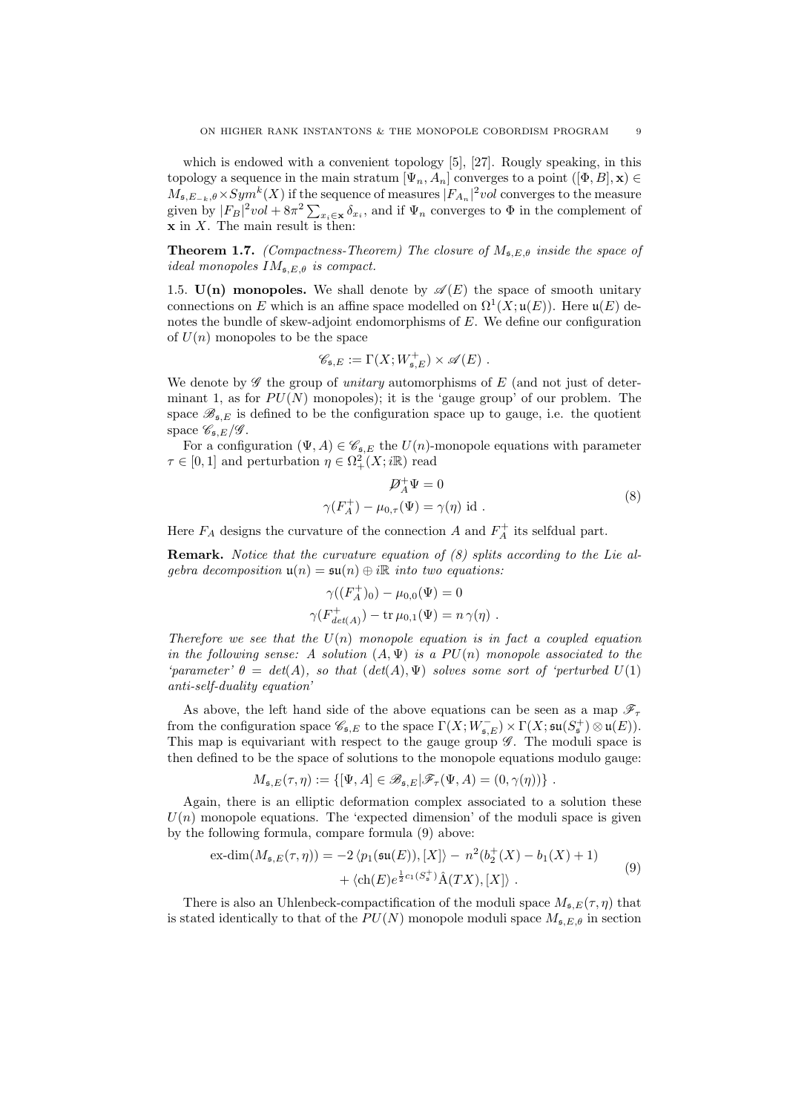which is endowed with a convenient topology [5], [27]. Rougly speaking, in this topology a sequence in the main stratum  $[\Psi_n, A_n]$  converges to a point  $([\Phi, B], \mathbf{x}) \in$  $M_{\mathfrak{s},E_{-k},\theta}\times Sym^k(X)$  if the sequence of measures  $|F_{A_n}|^2vol$  converges to the measure given by  $|F_B|^2 vol + 8\pi^2 \sum_{x_i \in \mathbf{x}} \delta_{x_i}$ , and if  $\Psi_n$  converges to  $\Phi$  in the complement of  $x$  in  $X$ . The main result is then:

**Theorem 1.7.** (Compactness-Theorem) The closure of  $M_{\mathfrak{s},E,\theta}$  inside the space of ideal monopoles  $IM_{\mathfrak{s},E,\theta}$  is compact.

1.5.  $U(n)$  monopoles. We shall denote by  $\mathscr{A}(E)$  the space of smooth unitary connections on E which is an affine space modelled on  $\Omega^1(X; \mathfrak{u}(E))$ . Here  $\mathfrak{u}(E)$  denotes the bundle of skew-adjoint endomorphisms of E. We define our configuration of  $U(n)$  monopoles to be the space

$$
\mathscr{C}_{\mathfrak{s},E} := \Gamma(X;W^+_{\mathfrak{s},E}) \times \mathscr{A}(E) .
$$

We denote by  $\mathscr G$  the group of *unitary* automorphisms of  $E$  (and not just of determinant 1, as for  $PU(N)$  monopoles); it is the 'gauge group' of our problem. The space  $\mathscr{B}_{\mathfrak{s},E}$  is defined to be the configuration space up to gauge, i.e. the quotient space  $\mathscr{C}_{\mathfrak{s},E}/\mathscr{G}$ .

For a configuration  $(\Psi, A) \in \mathscr{C}_{\mathfrak{s},E}$  the  $U(n)$ -monopole equations with parameter  $\tau \in [0,1]$  and perturbation  $\eta \in \Omega^2_+(X;\mathbb{R})$  read

$$
\mathcal{D}_A^+ \Psi = 0
$$
  

$$
\gamma(F_A^+) - \mu_{0,\tau}(\Psi) = \gamma(\eta) \text{ id}.
$$
 (8)

Here  $F_A$  designs the curvature of the connection A and  $F_A^+$  its selfdual part.

**Remark.** Notice that the curvature equation of  $(8)$  splits according to the Lie algebra decomposition  $\mathfrak{u}(n) = \mathfrak{su}(n) \oplus i\mathbb{R}$  into two equations:

$$
\gamma((F_A^+)_0) - \mu_{0,0}(\Psi) = 0
$$
  

$$
\gamma(F_{det(A)}^+) - \text{tr}\,\mu_{0,1}(\Psi) = n\,\gamma(\eta) .
$$

Therefore we see that the  $U(n)$  monopole equation is in fact a coupled equation in the following sense: A solution  $(A, \Psi)$  is a  $PU(n)$  monopole associated to the 'parameter'  $\theta = det(A)$ , so that  $(det(A), \Psi)$  solves some sort of 'perturbed  $U(1)$ anti-self-duality equation'

As above, the left hand side of the above equations can be seen as a map  $\mathscr{F}_\tau$ from the configuration space  $\mathscr{C}_{\mathfrak{s},E}$  to the space  $\Gamma(X;W^-_{\mathfrak{s},E}) \times \Gamma(X;\mathfrak{su}(S^+_{\mathfrak{s}}) \otimes \mathfrak{u}(E)).$ This map is equivariant with respect to the gauge group  $\mathscr G$ . The moduli space is then defined to be the space of solutions to the monopole equations modulo gauge:

$$
M_{\mathfrak{s},E}(\tau,\eta) := \{ [\Psi, A] \in \mathscr{B}_{\mathfrak{s},E} | \mathscr{F}_{\tau}(\Psi, A) = (0, \gamma(\eta)) \}.
$$

Again, there is an elliptic deformation complex associated to a solution these  $U(n)$  monopole equations. The 'expected dimension' of the moduli space is given by the following formula, compare formula (9) above:

$$
\operatorname{ex-dim}(M_{\mathfrak{s},E}(\tau,\eta)) = -2 \langle p_1(\mathfrak{su}(E)), [X] \rangle - n^2(b_2^+(X) - b_1(X) + 1) + \langle ch(E)e^{\frac{1}{2}c_1(S_{\mathfrak{s}}^+)}\hat{A}(TX), [X] \rangle.
$$
\n(9)

There is also an Uhlenbeck-compactification of the moduli space  $M_{\mathfrak{s},E}(\tau,\eta)$  that is stated identically to that of the  $PU(N)$  monopole moduli space  $M_{\mathfrak{s},E,\theta}$  in section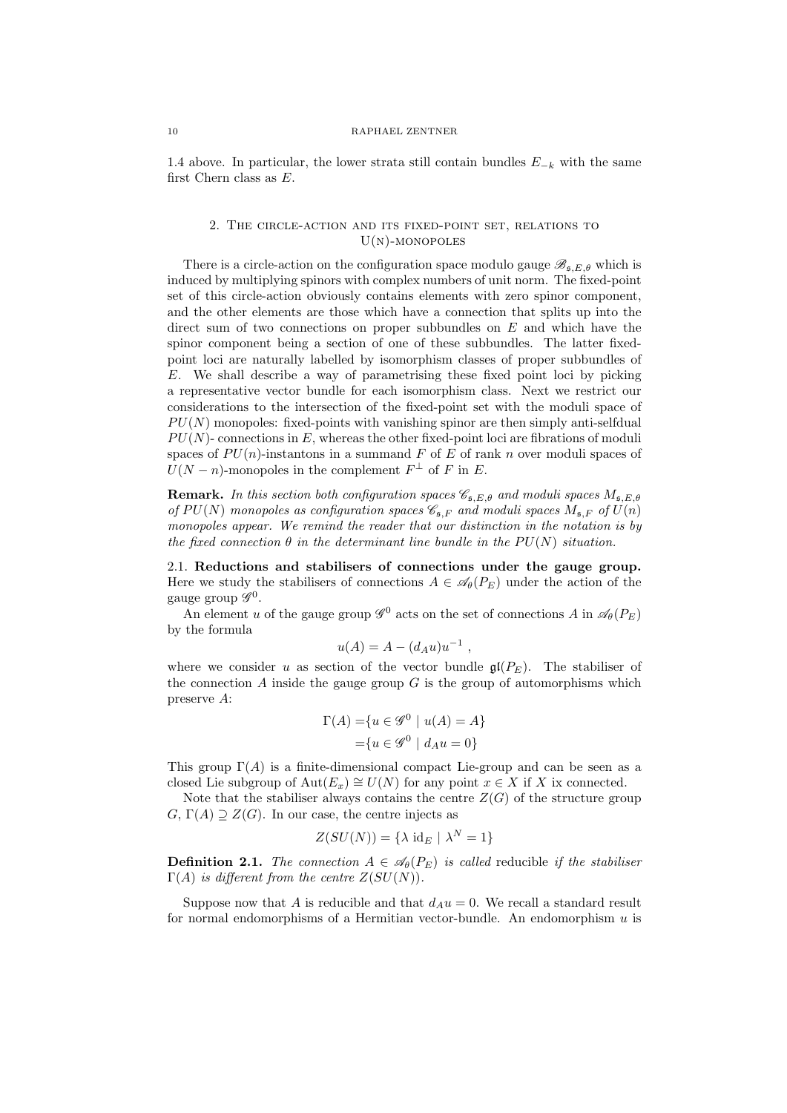#### 10 RAPHAEL ZENTNER

1.4 above. In particular, the lower strata still contain bundles  $E_{-k}$  with the same first Chern class as E.

## 2. The circle-action and its fixed-point set, relations to  $U(N)$ -MONOPOLES

There is a circle-action on the configuration space modulo gauge  $\mathscr{B}_{\mathfrak{s},E,\theta}$  which is induced by multiplying spinors with complex numbers of unit norm. The fixed-point set of this circle-action obviously contains elements with zero spinor component, and the other elements are those which have a connection that splits up into the direct sum of two connections on proper subbundles on  $E$  and which have the spinor component being a section of one of these subbundles. The latter fixedpoint loci are naturally labelled by isomorphism classes of proper subbundles of E. We shall describe a way of parametrising these fixed point loci by picking a representative vector bundle for each isomorphism class. Next we restrict our considerations to the intersection of the fixed-point set with the moduli space of  $PU(N)$  monopoles: fixed-points with vanishing spinor are then simply anti-selfdual  $PU(N)$ - connections in E, whereas the other fixed-point loci are fibrations of moduli spaces of  $PU(n)$ -instantons in a summand F of E of rank n over moduli spaces of  $U(N - n)$ -monopoles in the complement  $F^{\perp}$  of F in E.

**Remark.** In this section both configuration spaces  $\mathscr{C}_{\mathfrak{s},E,\theta}$  and moduli spaces  $M_{\mathfrak{s},E,\theta}$ of  $PU(N)$  monopoles as configuration spaces  $\mathscr{C}_{\mathfrak{s},F}$  and moduli spaces  $M_{\mathfrak{s},F}$  of  $U(n)$ monopoles appear. We remind the reader that our distinction in the notation is by the fixed connection  $\theta$  in the determinant line bundle in the  $PU(N)$  situation.

2.1. Reductions and stabilisers of connections under the gauge group. Here we study the stabilisers of connections  $A \in \mathscr{A}_{\theta}(P_{E})$  under the action of the gauge group  $\mathscr{G}^0$ .

An element u of the gauge group  $\mathscr{G}^0$  acts on the set of connections A in  $\mathscr{A}_{\theta}(P_E)$ by the formula

$$
u(A) = A - (d_A u)u^{-1} ,
$$

where we consider u as section of the vector bundle  $\mathfrak{gl}(P_E)$ . The stabiliser of the connection A inside the gauge group  $G$  is the group of automorphisms which preserve A:

$$
\Gamma(A) = \{ u \in \mathcal{G}^0 \mid u(A) = A \}
$$

$$
= \{ u \in \mathcal{G}^0 \mid d_A u = 0 \}
$$

This group  $\Gamma(A)$  is a finite-dimensional compact Lie-group and can be seen as a closed Lie subgroup of  $Aut(E_x) \cong U(N)$  for any point  $x \in X$  if X ix connected.

Note that the stabiliser always contains the centre  $Z(G)$  of the structure group  $G, \Gamma(A) \supseteq Z(G)$ . In our case, the centre injects as

$$
Z(SU(N)) = \{ \lambda \text{ id}_E \mid \lambda^N = 1 \}
$$

**Definition 2.1.** The connection  $A \in \mathcal{A}_{\theta}(P_E)$  is called reducible if the stabiliser  $\Gamma(A)$  is different from the centre  $Z(SU(N))$ .

Suppose now that A is reducible and that  $d_A u = 0$ . We recall a standard result for normal endomorphisms of a Hermitian vector-bundle. An endomorphism  $u$  is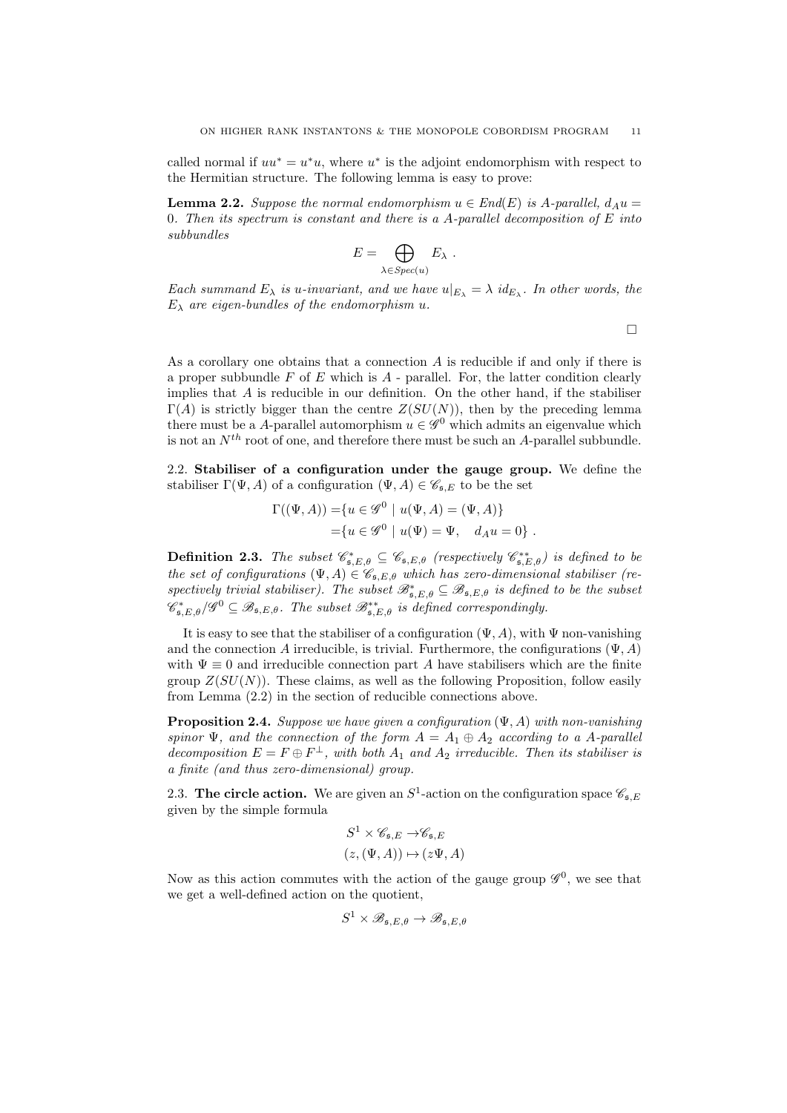called normal if  $uu^* = u^*u$ , where  $u^*$  is the adjoint endomorphism with respect to the Hermitian structure. The following lemma is easy to prove:

**Lemma 2.2.** Suppose the normal endomorphism  $u \in End(E)$  is A-parallel,  $d_A u =$ 0. Then its spectrum is constant and there is a A-parallel decomposition of  $E$  into subbundles

$$
E = \bigoplus_{\lambda \in Spec(u)} E_{\lambda} .
$$

Each summand  $E_{\lambda}$  is u-invariant, and we have  $u|_{E_{\lambda}} = \lambda id_{E_{\lambda}}$ . In other words, the  $E_{\lambda}$  are eigen-bundles of the endomorphism u.

 $\Box$ 

As a corollary one obtains that a connection A is reducible if and only if there is a proper subbundle  $F$  of  $E$  which is  $A$  - parallel. For, the latter condition clearly implies that  $A$  is reducible in our definition. On the other hand, if the stabiliser  $\Gamma(A)$  is strictly bigger than the centre  $Z(SU(N))$ , then by the preceding lemma there must be a A-parallel automorphism  $u \in \mathscr{G}^0$  which admits an eigenvalue which is not an  $N^{th}$  root of one, and therefore there must be such an A-parallel subbundle.

2.2. Stabiliser of a configuration under the gauge group. We define the stabiliser  $\Gamma(\Psi, A)$  of a configuration  $(\Psi, A) \in \mathscr{C}_{\mathfrak{s},E}$  to be the set

$$
\Gamma((\Psi, A)) = \{u \in \mathscr{G}^0 \mid u(\Psi, A) = (\Psi, A)\}
$$
  
=  $\{u \in \mathscr{G}^0 \mid u(\Psi) = \Psi, \quad d_A u = 0\}$ .

**Definition 2.3.** The subset  $\mathscr{C}_{\mathfrak{s},E,\theta}^* \subseteq \mathscr{C}_{\mathfrak{s},E,\theta}$  (respectively  $\mathscr{C}_{\mathfrak{s},E,\theta}^{**}$ ) is defined to be the set of configurations  $(\Psi, A) \in \mathscr{C}_{\mathfrak{s},E,\theta}$  which has zero-dimensional stabiliser (respectively trivial stabiliser). The subset  $\mathscr{B}_{\mathfrak{s},E,\theta}^* \subseteq \mathscr{B}_{\mathfrak{s},E,\theta}$  is defined to be the subset  $\mathscr{C}^{*}_{\mathfrak{s},E,\theta}/\mathscr{G}^0 \subseteq \mathscr{B}_{\mathfrak{s},E,\theta}$ . The subset  $\mathscr{B}^{**}_{\mathfrak{s},E,\theta}$  is defined correspondingly.

It is easy to see that the stabiliser of a configuration  $(\Psi, A)$ , with  $\Psi$  non-vanishing and the connection A irreducible, is trivial. Furthermore, the configurations  $(\Psi, A)$ with  $\Psi \equiv 0$  and irreducible connection part A have stabilisers which are the finite group  $Z(SU(N))$ . These claims, as well as the following Proposition, follow easily from Lemma (2.2) in the section of reducible connections above.

**Proposition 2.4.** Suppose we have given a configuration  $(\Psi, A)$  with non-vanishing spinor  $\Psi$ , and the connection of the form  $A = A_1 \oplus A_2$  according to a A-parallel decomposition  $E = F \oplus F^{\perp}$ , with both  $A_1$  and  $A_2$  irreducible. Then its stabiliser is a finite (and thus zero-dimensional) group.

2.3. The circle action. We are given an  $S^1$ -action on the configuration space  $\mathscr{C}_{\mathfrak{s},E}$ given by the simple formula

$$
S^1 \times \mathscr{C}_{\mathfrak{s},E} \to \mathscr{C}_{\mathfrak{s},E}
$$

$$
(z, (\Psi, A)) \mapsto (z\Psi, A)
$$

Now as this action commutes with the action of the gauge group  $\mathscr{G}^0$ , we see that we get a well-defined action on the quotient,

$$
S^1 \times \mathscr{B}_{\mathfrak{s},E,\theta} \to \mathscr{B}_{\mathfrak{s},E,\theta}
$$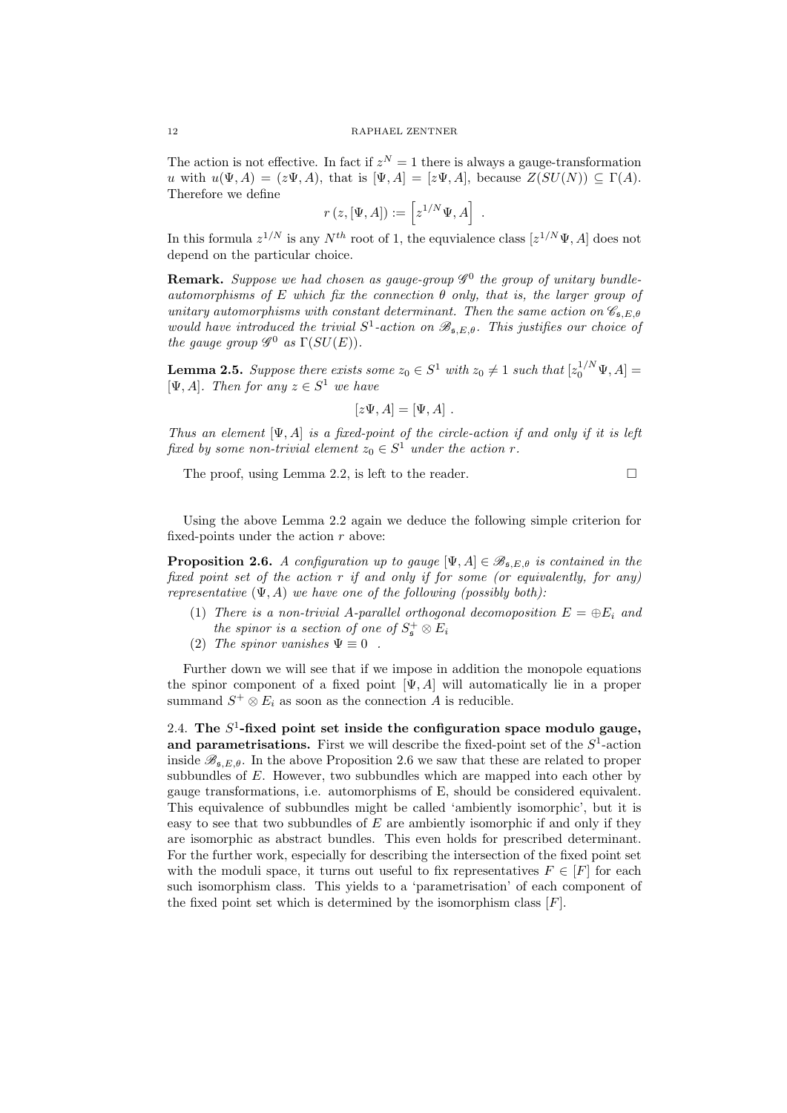The action is not effective. In fact if  $z^N = 1$  there is always a gauge-transformation u with  $u(\Psi, A) = (z\Psi, A)$ , that is  $[\Psi, A] = [z\Psi, A]$ , because  $Z(SU(N)) \subseteq \Gamma(A)$ . Therefore we define

$$
r(z,[\Psi,A]):=\left[z^{1/N}\Psi,A\right] .
$$

In this formula  $z^{1/N}$  is any  $N^{th}$  root of 1, the equvialence class  $[z^{1/N}\Psi, A]$  does not depend on the particular choice.

**Remark.** Suppose we had chosen as gauge-group  $\mathscr{G}^0$  the group of unitary bundleautomorphisms of E which fix the connection  $\theta$  only, that is, the larger group of unitary automorphisms with constant determinant. Then the same action on  $\mathscr{C}_{\epsilon, E, \theta}$ would have introduced the trivial  $S^1$ -action on  $\mathscr{B}_{\mathfrak{s},E,\theta}$ . This justifies our choice of the gauge group  $\mathscr{G}^0$  as  $\Gamma(SU(E)).$ 

**Lemma 2.5.** Suppose there exists some  $z_0 \in S^1$  with  $z_0 \neq 1$  such that  $[z_0^{1/N} \Psi, A] =$  $[\Psi, A]$ . Then for any  $z \in S^1$  we have

$$
[z\Psi, A] = [\Psi, A] .
$$

Thus an element  $[\Psi, A]$  is a fixed-point of the circle-action if and only if it is left fixed by some non-trivial element  $z_0 \in S^1$  under the action r.

The proof, using Lemma 2.2, is left to the reader.  $\Box$ 

Using the above Lemma 2.2 again we deduce the following simple criterion for fixed-points under the action  $r$  above:

**Proposition 2.6.** A configuration up to gauge  $[\Psi, A] \in \mathscr{B}_{\mathfrak{s},E,\theta}$  is contained in the fixed point set of the action  $r$  if and only if for some (or equivalently, for any) representative  $(\Psi, A)$  we have one of the following (possibly both):

- (1) There is a non-trivial A-parallel orthogonal decomoposition  $E = \bigoplus E_i$  and the spinor is a section of one of  $S^+_{\mathfrak{s}} \otimes E_i$
- (2) The spinor vanishes  $\Psi \equiv 0$ .

Further down we will see that if we impose in addition the monopole equations the spinor component of a fixed point  $[\Psi, A]$  will automatically lie in a proper summand  $S^+ \otimes E_i$  as soon as the connection A is reducible.

2.4. The  $S^1$ -fixed point set inside the configuration space modulo gauge, and parametrisations. First we will describe the fixed-point set of the  $S<sup>1</sup>$ -action inside  $\mathscr{B}_{\epsilon,EA}$ . In the above Proposition 2.6 we saw that these are related to proper subbundles of E. However, two subbundles which are mapped into each other by gauge transformations, i.e. automorphisms of E, should be considered equivalent. This equivalence of subbundles might be called 'ambiently isomorphic', but it is easy to see that two subbundles of  $E$  are ambiently isomorphic if and only if they are isomorphic as abstract bundles. This even holds for prescribed determinant. For the further work, especially for describing the intersection of the fixed point set with the moduli space, it turns out useful to fix representatives  $F \in [F]$  for each such isomorphism class. This yields to a 'parametrisation' of each component of the fixed point set which is determined by the isomorphism class  $[F]$ .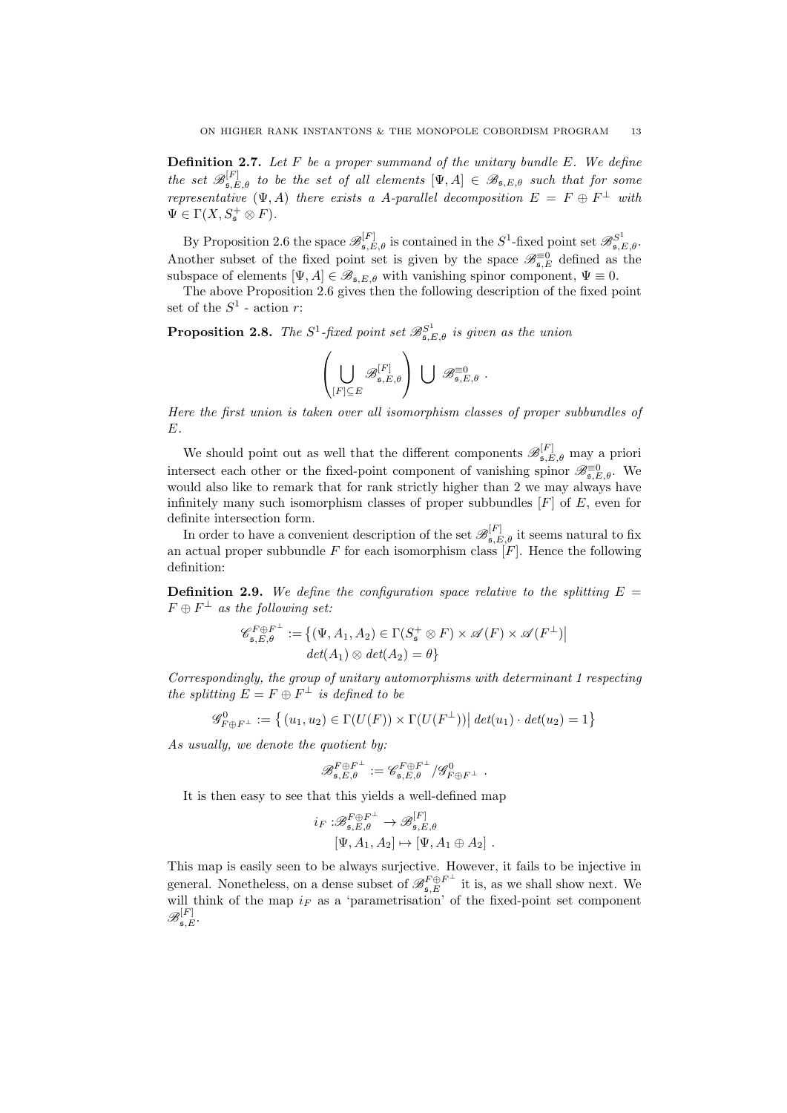**Definition 2.7.** Let F be a proper summand of the unitary bundle  $E$ . We define the set  $\mathscr{B}_{\mathfrak{s},E,\theta}^{[F]}$  to be the set of all elements  $[\Psi,A]\in\mathscr{B}_{\mathfrak{s},E,\theta}$  such that for some representative  $(\Psi, A)$  there exists a A-parallel decomposition  $E = F \oplus F^{\perp}$  with  $\Psi \in \Gamma(X, S^+_{\mathfrak{s}} \otimes F).$ 

By Proposition 2.6 the space  $\mathscr{B}_{\mathfrak{s},E,\theta}^{[F]}$  is contained in the  $S^1$ -fixed point set  $\mathscr{B}_{\mathfrak{s},E,\theta}^{S^1}$ . Another subset of the fixed point set is given by the space  $\mathscr{B}_{\mathfrak{s},E}^{\equiv 0}$  defined as the subspace of elements  $[\Psi, A] \in \mathscr{B}_{\mathfrak{s},E,\theta}$  with vanishing spinor component,  $\Psi \equiv 0$ .

The above Proposition 2.6 gives then the following description of the fixed point set of the  $S^1$  - action r:

**Proposition 2.8.** The  $S^1$ -fixed point set  $\mathscr{B}_{\mathfrak{s},E,\theta}^{S^1}$  is given as the union

$$
\left(\bigcup_{[F]\subseteq E} \mathscr{B}_{\mathfrak{s},E,\theta}^{[F]}\right)\ \bigcup\ \mathscr{B}_{\mathfrak{s},E,\theta}^{\equiv 0}\ .
$$

Here the first union is taken over all isomorphism classes of proper subbundles of E.

We should point out as well that the different components  $\mathscr{B}_{\mathfrak{s},E,\theta}^{[F]}$  may a priori intersect each other or the fixed-point component of vanishing spinor  $\mathscr{B}_{\mathfrak{s},E,\theta}^{\equiv 0}$ . We would also like to remark that for rank strictly higher than 2 we may always have infinitely many such isomorphism classes of proper subbundles  $[F]$  of  $E$ , even for definite intersection form.

In order to have a convenient description of the set  $\mathscr{B}_{\mathfrak{s},E,\theta}^{[F]}$  it seems natural to fix an actual proper subbundle  $F$  for each isomorphism class  $[F]$ . Hence the following definition:

**Definition 2.9.** We define the configuration space relative to the splitting  $E =$  $F \oplus F^{\perp}$  as the following set:

$$
\mathscr{C}_{\mathfrak{s},E,\theta}^{F \oplus F^{\perp}} := \{ (\Psi, A_1, A_2) \in \Gamma(S_{\mathfrak{s}}^+ \otimes F) \times \mathscr{A}(F) \times \mathscr{A}(F^{\perp}) \mid det(A_1) \otimes det(A_2) = \theta \}
$$

Correspondingly, the group of unitary automorphisms with determinant 1 respecting the splitting  $E = F \oplus F^{\perp}$  is defined to be

$$
\mathscr{G}_{F \oplus F^{\perp}}^{0} := \left\{ (u_1, u_2) \in \Gamma(U(F)) \times \Gamma(U(F^{\perp})) \middle| \det(u_1) \cdot \det(u_2) = 1 \right\}
$$

As usually, we denote the quotient by:

$$
\mathscr{B}_{\mathfrak{s},E,\theta}^{F \oplus F^{\perp}} := \mathscr{C}_{\mathfrak{s},E,\theta}^{F \oplus F^{\perp}} / \mathscr{G}_{F \oplus F^{\perp}}^0.
$$

It is then easy to see that this yields a well-defined map

$$
i_F: \mathscr{B}_{\mathfrak{s},E,\theta}^{F \oplus F^{\perp}} \to \mathscr{B}_{\mathfrak{s},E,\theta}^{[F]}
$$

$$
[\Psi, A_1, A_2] \mapsto [\Psi, A_1 \oplus A_2].
$$

This map is easily seen to be always surjective. However, it fails to be injective in general. Nonetheless, on a dense subset of  $\mathscr{B}^{F \oplus F^{\perp}}_{\mathfrak{s},E}$  it is, as we shall show next. We will think of the map  $i_F$  as a 'parametrisation' of the fixed-point set component  $\mathscr{B}_{\mathfrak{s},E}^{[F]}.$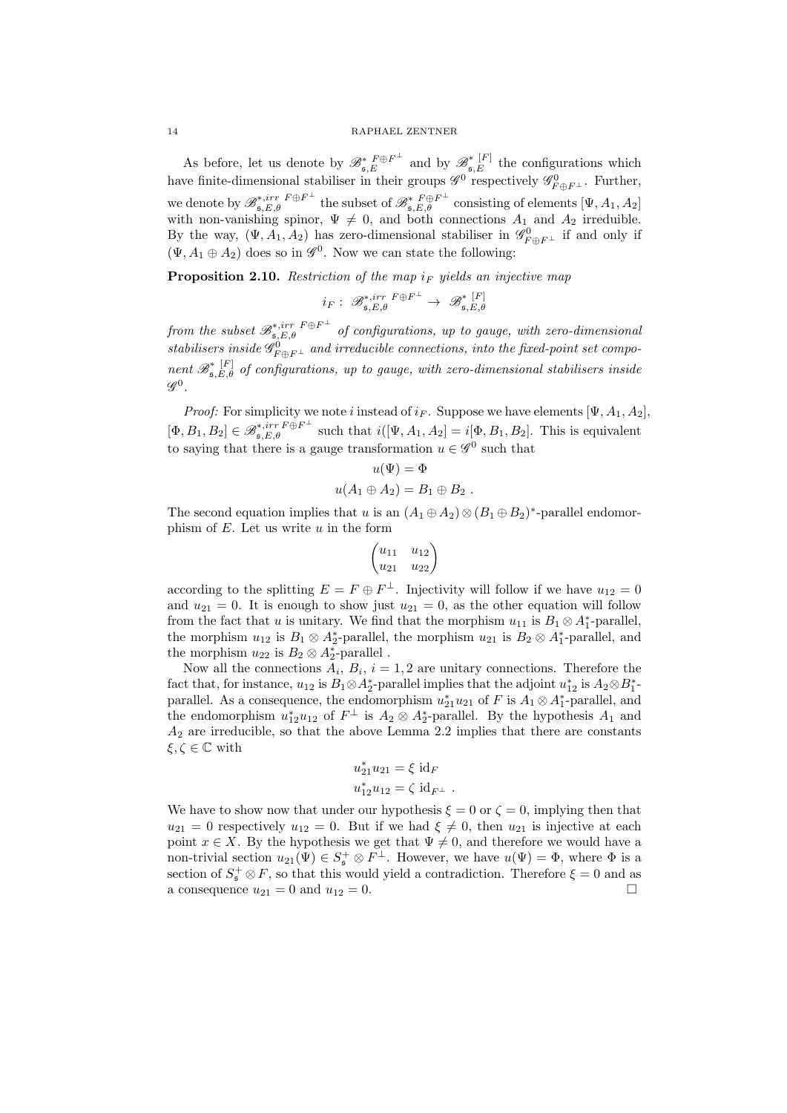As before, let us denote by  $\mathscr{B}_{\mathfrak{s},E}^{*F\oplus F^{\perp}}$  and by  $\mathscr{B}_{\mathfrak{s},E}^{*F^{\perp}}$  the configurations which have finite-dimensional stabiliser in their groups  $\mathscr{G}^0$  respectively  $\mathscr{G}^0_{F \oplus F^\perp}$ . Further, we denote by  $\mathscr{B}_{\mathfrak{s},E,\theta}^{*,irr} F^{\oplus F^{\perp}}$  the subset of  $\mathscr{B}_{\mathfrak{s},E,\theta}^{*,F^{\oplus F^{\perp}}}$  consisting of elements  $[\Psi, A_1, A_2]$ with non-vanishing spinor,  $\Psi \neq 0$ , and both connections  $A_1$  and  $A_2$  irreduible. By the way,  $(\Psi, A_1, A_2)$  has zero-dimensional stabiliser in  $\mathscr{G}^0_{F \oplus F^{\perp}}$  if and only if  $(\Psi, A_1 \oplus A_2)$  does so in  $\mathscr{G}^0$ . Now we can state the following:

**Proposition 2.10.** Restriction of the map  $i_F$  yields an injective map

$$
i_F: \ \mathscr{B}_{\mathfrak{s},E,\theta}^{*,irr\ F\oplus F^\perp} \to \ \mathscr{B}_{\mathfrak{s},E,\theta}^{* \ \left[ F \right]}
$$

from the subset  $\mathscr{B}_{\mathfrak{s},E,\theta}^{*,irr}$   $^{F\oplus F^{\perp}}$  of configurations, up to gauge, with zero-dimensional stabilisers inside  $\mathscr{G}_{F \oplus F^{\perp}}^0$  and irreducible connections, into the fixed-point set component  $\mathscr{B}_{\mathfrak{s},E,\theta}^{*}[F]$  of configurations, up to gauge, with zero-dimensional stabilisers inside  $\mathscr{G}^0$  .

*Proof:* For simplicity we note i instead of  $i_F$ . Suppose we have elements  $[\Psi, A_1, A_2]$ ,  $[\Phi, B_1, B_2] \in \mathscr{B}_{\mathfrak{s},E,\theta}^{*,irrF \oplus F^{\perp}}$  such that  $i([\Psi, A_1, A_2] = i[\Phi, B_1, B_2]$ . This is equivalent to saying that there is a gauge transformation  $u \in \mathscr{G}^0$  such that

$$
u(\Psi) = \Phi
$$
  

$$
u(A_1 \oplus A_2) = B_1 \oplus B_2.
$$

The second equation implies that u is an  $(A_1 \oplus A_2) \otimes (B_1 \oplus B_2)^*$ -parallel endomorphism of  $E$ . Let us write  $u$  in the form

$$
\begin{pmatrix} u_{11} & u_{12} \ u_{21} & u_{22} \end{pmatrix}
$$

according to the splitting  $E = F \oplus F^{\perp}$ . Injectivity will follow if we have  $u_{12} = 0$ and  $u_{21} = 0$ . It is enough to show just  $u_{21} = 0$ , as the other equation will follow from the fact that u is unitary. We find that the morphism  $u_{11}$  is  $B_1 \otimes A_1^*$ -parallel, the morphism  $u_{12}$  is  $B_1 \otimes A_2^*$ -parallel, the morphism  $u_{21}$  is  $B_2 \otimes A_1^*$ -parallel, and the morphism  $u_{22}$  is  $B_2 \otimes A_2^*$ -parallel.

Now all the connections  $A_i$ ,  $B_i$ ,  $i = 1, 2$  are unitary connections. Therefore the fact that, for instance,  $u_{12}$  is  $B_1 \otimes A_2^*$ -parallel implies that the adjoint  $u_{12}^*$  is  $A_2 \otimes B_1^*$ parallel. As a consequence, the endomorphism  $u_{21}^* u_{21}$  of F is  $A_1 \otimes A_1^*$ -parallel, and the endomorphism  $u_{12}^* u_{12}$  of  $F^{\perp}$  is  $A_2 \otimes A_2^*$ -parallel. By the hypothesis  $A_1$  and  $A_2$  are irreducible, so that the above Lemma 2.2 implies that there are constants  $\xi, \zeta \in \mathbb{C}$  with

$$
u_{21}^* u_{21} = \xi \mathrm{id}_F
$$
  

$$
u_{12}^* u_{12} = \zeta \mathrm{id}_{F^\perp}.
$$

We have to show now that under our hypothesis  $\xi = 0$  or  $\zeta = 0$ , implying then that  $u_{21} = 0$  respectively  $u_{12} = 0$ . But if we had  $\xi \neq 0$ , then  $u_{21}$  is injective at each point  $x \in X$ . By the hypothesis we get that  $\Psi \neq 0$ , and therefore we would have a non-trivial section  $u_{21}(\Psi) \in S^+_{\mathfrak{s}} \otimes F^{\perp}$ . However, we have  $u(\Psi) = \Phi$ , where  $\Phi$  is a section of  $S^+$   $\otimes$  F, so that this would yield a contradiction. Therefore  $\xi = 0$  and as a consequence  $u_{21} = 0$  and  $u_{12} = 0$ .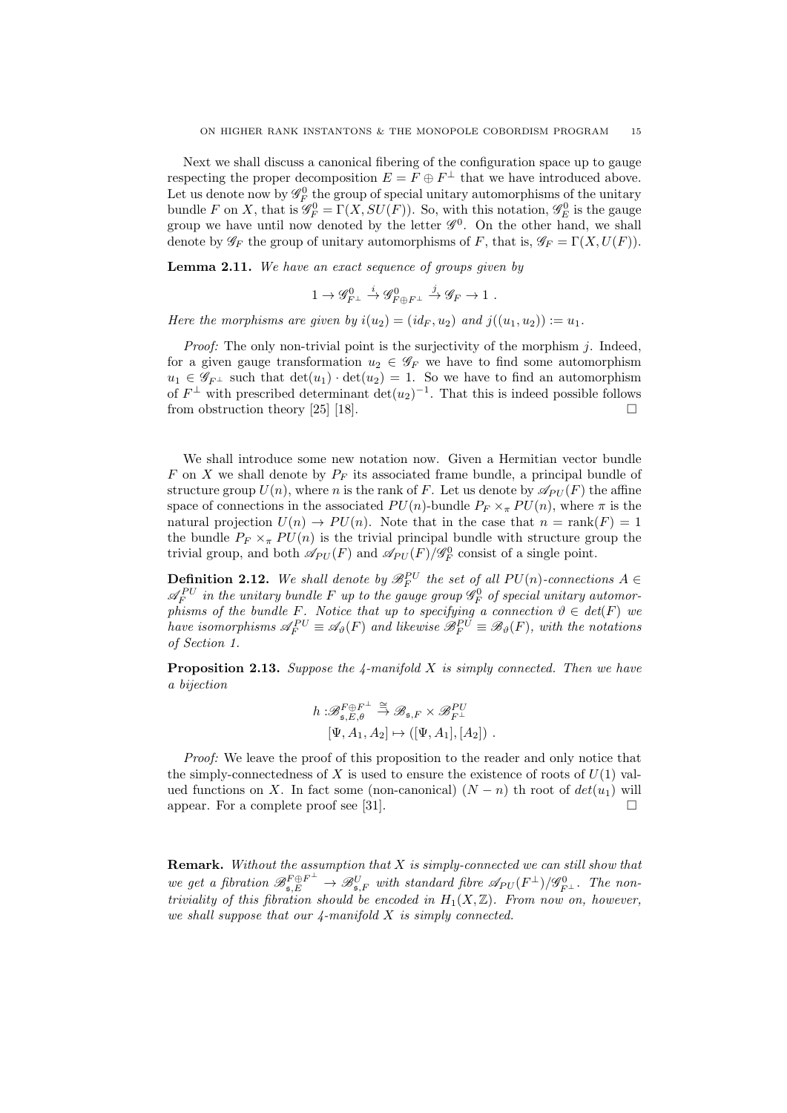Next we shall discuss a canonical fibering of the configuration space up to gauge respecting the proper decomposition  $E = F \oplus F^{\perp}$  that we have introduced above. Let us denote now by  $\mathscr{G}_{F}^{0}$  the group of special unitary automorphisms of the unitary bundle F on X, that is  $\mathscr{G}_F^0 = \Gamma(X, SU(F))$ . So, with this notation,  $\mathscr{G}_E^0$  is the gauge group we have until now denoted by the letter  $\mathscr{G}^0$ . On the other hand, we shall denote by  $\mathscr{G}_F$  the group of unitary automorphisms of F, that is,  $\mathscr{G}_F = \Gamma(X, U(F)).$ 

Lemma 2.11. We have an exact sequence of groups given by

$$
1 \to \mathscr{G}_{F^\perp}^0 \xrightarrow{i} \mathscr{G}_{F \oplus F^\perp}^0 \xrightarrow{j} \mathscr{G}_F \to 1.
$$

Here the morphisms are given by  $i(u_2) = (id_F, u_2)$  and  $j((u_1, u_2)) := u_1$ .

*Proof:* The only non-trivial point is the surjectivity of the morphism  $i$ . Indeed, for a given gauge transformation  $u_2 \in \mathscr{G}_F$  we have to find some automorphism  $u_1 \in \mathscr{G}_{F^\perp}$  such that  $\det(u_1) \cdot \det(u_2) = 1$ . So we have to find an automorphism of  $F^{\perp}$  with prescribed determinant  $\det(u_2)^{-1}$ . That this is indeed possible follows from obstruction theory [25] [18].  $\square$ 

We shall introduce some new notation now. Given a Hermitian vector bundle F on X we shall denote by  $P_F$  its associated frame bundle, a principal bundle of structure group  $U(n)$ , where n is the rank of F. Let us denote by  $\mathscr{A}_{PU}(F)$  the affine space of connections in the associated  $PU(n)$ -bundle  $P_F \times_{\pi} PU(n)$ , where  $\pi$  is the natural projection  $U(n) \to PU(n)$ . Note that in the case that  $n = rank(F) = 1$ the bundle  $P_F \times_{\pi} PU(n)$  is the trivial principal bundle with structure group the trivial group, and both  $\mathscr{A}_{PU}(F)$  and  $\mathscr{A}_{PU}(F)/\mathscr{G}_{F}^{0}$  consist of a single point.

**Definition 2.12.** We shall denote by  $\mathscr{B}_F^{PU}$  the set of all  $PU(n)$ -connections  $A \in$  $\mathscr{A}_{F}^{PU}$  in the unitary bundle F up to the gauge group  $\mathscr{G}_{F}^{0}$  of special unitary automorphisms of the bundle F. Notice that up to specifying a connection  $\vartheta \in det(F)$  we have isomorphisms  $\mathscr{A}_F^{PU} \equiv \mathscr{A}_{\vartheta}(F)$  and likewise  $\mathscr{B}_F^{PU} \equiv \mathscr{B}_{\vartheta}(F)$ , with the notations of Section 1.

**Proposition 2.13.** Suppose the 4-manifold X is simply connected. Then we have a bijection

$$
h: \mathscr{B}_{\mathfrak{s},E,\theta}^{F \oplus F^{\perp}} \stackrel{\cong}{\to} \mathscr{B}_{\mathfrak{s},F} \times \mathscr{B}_{F^{\perp}}^{PU} [\Psi, A_1, A_2] \mapsto ([\Psi, A_1], [A_2]) .
$$

Proof: We leave the proof of this proposition to the reader and only notice that the simply-connectedness of X is used to ensure the existence of roots of  $U(1)$  valued functions on X. In fact some (non-canonical)  $(N - n)$  th root of  $det(u_1)$  will appear. For a complete proof see [31].

**Remark.** Without the assumption that  $X$  is simply-connected we can still show that we get a fibration  $\mathscr{B}^{F \oplus F^{\perp}}_{\mathfrak{s},E} \to \mathscr{B}^{U}_{\mathfrak{s},F}$  with standard fibre  $\mathscr{A}_{PU}(F^{\perp})/\mathscr{G}^{0}_{F^{\perp}}$ . The nontriviality of this fibration should be encoded in  $H_1(X,\mathbb{Z})$ . From now on, however, we shall suppose that our  $\mu$ -manifold X is simply connected.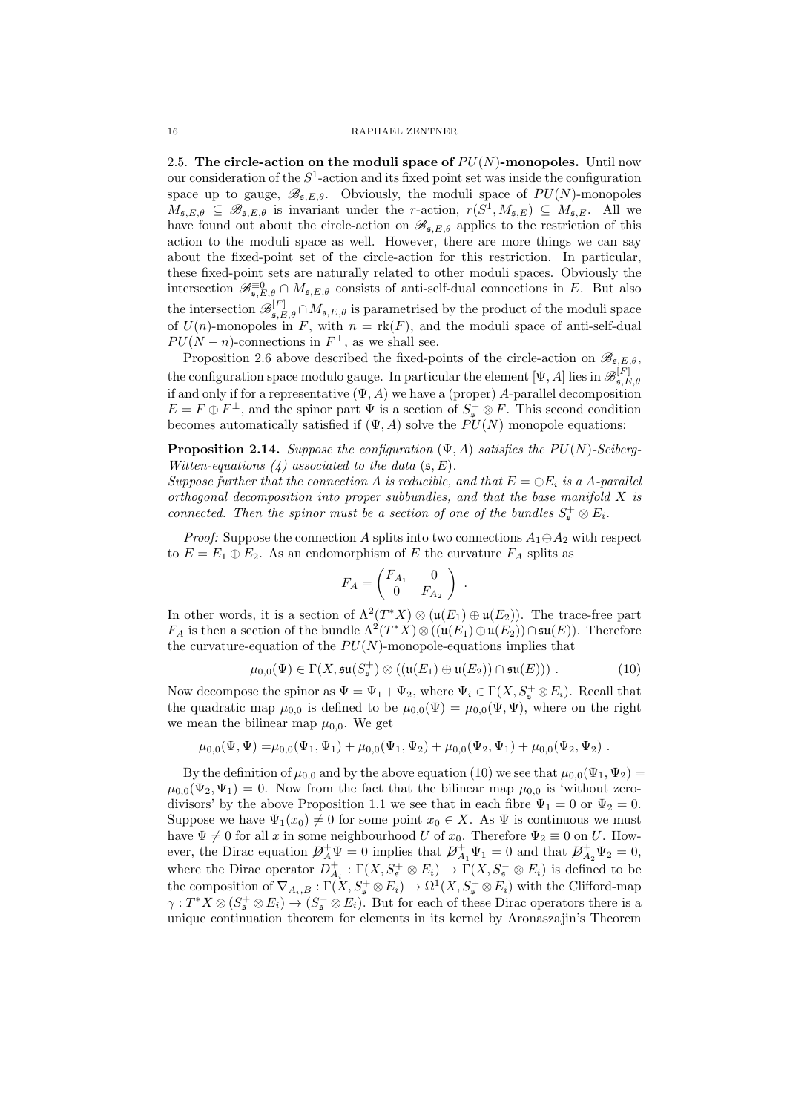2.5. The circle-action on the moduli space of  $PU(N)$ -monopoles. Until now our consideration of the  $S^1$ -action and its fixed point set was inside the configuration space up to gauge,  $\mathscr{B}_{\mathfrak{s},E,\theta}$ . Obviously, the moduli space of  $PU(N)$ -monopoles  $M_{\mathfrak{s},E,\theta} \subseteq \mathscr{B}_{\mathfrak{s},E,\theta}$  is invariant under the r-action,  $r(S^1, M_{\mathfrak{s},E}) \subseteq M_{\mathfrak{s},E}$ . All we have found out about the circle-action on  $\mathscr{B}_{\mathfrak{s},E,\theta}$  applies to the restriction of this action to the moduli space as well. However, there are more things we can say about the fixed-point set of the circle-action for this restriction. In particular, these fixed-point sets are naturally related to other moduli spaces. Obviously the intersection  $\mathscr{B}_{\mathfrak{s},E,\theta}^{\equiv 0} \cap M_{\mathfrak{s},E,\theta}$  consists of anti-self-dual connections in E. But also the intersection  $\mathscr{B}_{\mathfrak{s},E,\theta}^{[F]} \cap M_{\mathfrak{s},E,\theta}$  is parametrised by the product of the moduli space of  $U(n)$ -monopoles in F, with  $n = \text{rk}(F)$ , and the moduli space of anti-self-dual  $PU(N - n)$ -connections in  $F^{\perp}$ , as we shall see.

Proposition 2.6 above described the fixed-points of the circle-action on  $\mathscr{B}_{\mathfrak{s},E,\theta}$ , the configuration space modulo gauge. In particular the element  $[\Psi, A]$  lies in  $\mathscr{B}_{\mathfrak{s}, F}^{[F]}$  $,\mathfrak{s},E,\theta$ if and only if for a representative  $(\Psi, A)$  we have a (proper) A-parallel decomposition  $E = F \oplus F^{\perp}$ , and the spinor part  $\Psi$  is a section of  $S_{\mathfrak{s}}^+ \otimes F$ . This second condition becomes automatically satisfied if  $(\Psi, A)$  solve the  $PU(N)$  monopole equations:

**Proposition 2.14.** Suppose the configuration  $(\Psi, A)$  satisfies the  $PU(N)$ -Seiberg-Witten-equations  $(4)$  associated to the data  $(\mathfrak{s}, E)$ .

Suppose further that the connection A is reducible, and that  $E = \bigoplus E_i$  is a A-parallel orthogonal decomposition into proper subbundles, and that the base manifold X is connected. Then the spinor must be a section of one of the bundles  $S^+_{\mathfrak{s}} \otimes E_i$ .

*Proof:* Suppose the connection A splits into two connections  $A_1 \oplus A_2$  with respect to  $E = E_1 \oplus E_2$ . As an endomorphism of E the curvature  $F_A$  splits as

$$
F_A = \begin{pmatrix} F_{A_1} & 0 \\ 0 & F_{A_2} \end{pmatrix} .
$$

In other words, it is a section of  $\Lambda^2(T^*X) \otimes (\mathfrak{u}(E_1) \oplus \mathfrak{u}(E_2))$ . The trace-free part  $F_A$  is then a section of the bundle  $\Lambda^2(T^*X) \otimes ((\mathfrak{u}(E_1) \oplus \mathfrak{u}(E_2)) \cap \mathfrak{su}(E))$ . Therefore the curvature-equation of the  $PU(N)$ -monopole-equations implies that

$$
\mu_{0,0}(\Psi) \in \Gamma(X, \mathfrak{su}(S_{\mathfrak{s}}^+) \otimes ((\mathfrak{u}(E_1) \oplus \mathfrak{u}(E_2)) \cap \mathfrak{su}(E))) \ . \tag{10}
$$

Now decompose the spinor as  $\Psi = \Psi_1 + \Psi_2$ , where  $\Psi_i \in \Gamma(X, S^+_{\mathfrak{s}} \otimes E_i)$ . Recall that the quadratic map  $\mu_{0,0}$  is defined to be  $\mu_{0,0}(\Psi) = \mu_{0,0}(\Psi, \Psi)$ , where on the right we mean the bilinear map  $\mu_{0,0}$ . We get

$$
\mu_{0,0}(\Psi,\Psi) = \mu_{0,0}(\Psi_1,\Psi_1) + \mu_{0,0}(\Psi_1,\Psi_2) + \mu_{0,0}(\Psi_2,\Psi_1) + \mu_{0,0}(\Psi_2,\Psi_2).
$$

By the definition of  $\mu_{0,0}$  and by the above equation (10) we see that  $\mu_{0,0}(\Psi_1, \Psi_2)$  =  $\mu_{0,0}(\Psi_2, \Psi_1) = 0$ . Now from the fact that the bilinear map  $\mu_{0,0}$  is 'without zerodivisors' by the above Proposition 1.1 we see that in each fibre  $\Psi_1 = 0$  or  $\Psi_2 = 0$ . Suppose we have  $\Psi_1(x_0) \neq 0$  for some point  $x_0 \in X$ . As  $\Psi$  is continuous we must have  $\Psi \neq 0$  for all x in some neighbourhood U of  $x_0$ . Therefore  $\Psi_2 \equiv 0$  on U. However, the Dirac equation  $\mathcal{D}_A^+\Psi=0$  implies that  $\mathcal{D}_{A_1}^+\Psi_1=0$  and that  $\mathcal{D}_{A_2}^+\Psi_2=0$ , where the Dirac operator  $D_{A_i}^+ : \Gamma(X, S_s^+ \otimes E_i) \to \Gamma(X, S_s^- \otimes E_i)$  is defined to be the composition of  $\nabla_{A_i,B} : \Gamma(X, S^+_{\mathfrak{s}} \otimes E_i) \to \Omega^1(X, S^+_{\mathfrak{s}} \otimes E_i)$  with the Clifford-map  $\gamma: T^*X \otimes (S^+_{\mathfrak{s}} \otimes E_i) \to (S^-_{\mathfrak{s}} \otimes E_i)$ . But for each of these Dirac operators there is a unique continuation theorem for elements in its kernel by Aronaszajin's Theorem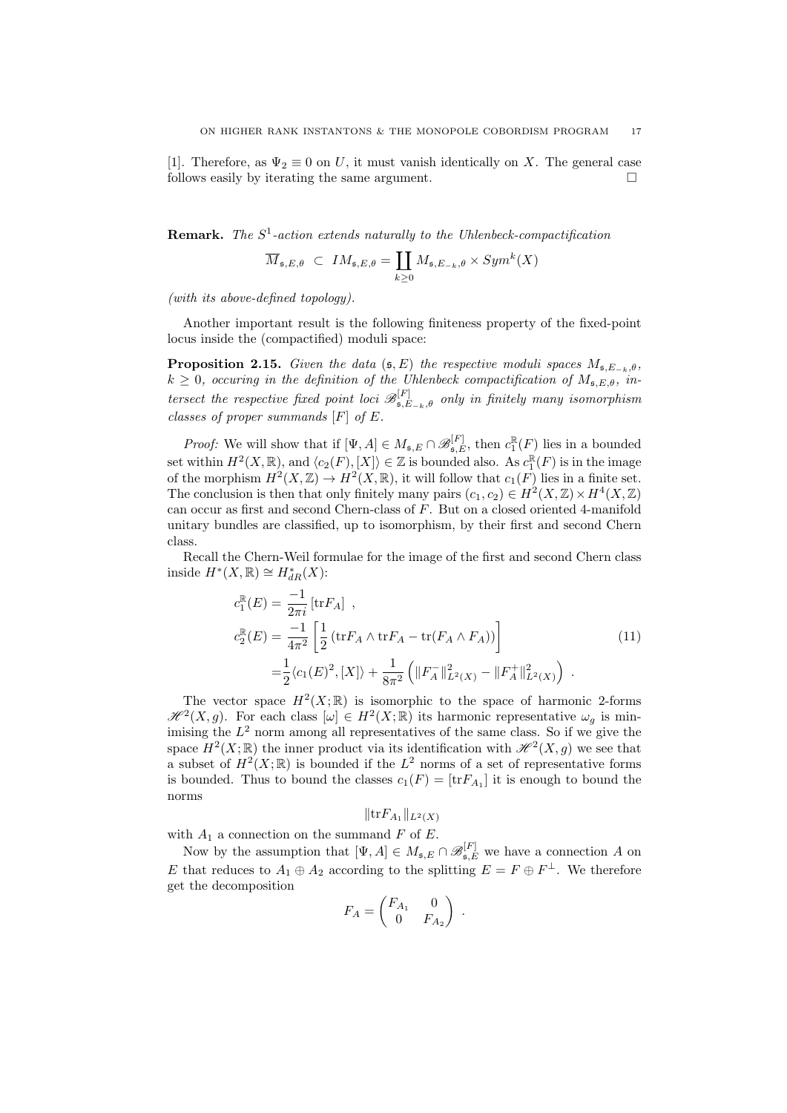[1]. Therefore, as  $\Psi_2 \equiv 0$  on U, it must vanish identically on X. The general case follows easily by iterating the same argument.

**Remark.** The  $S^1$ -action extends naturally to the Uhlenbeck-compactification

$$
\overline{M}_{\mathfrak{s},E,\theta} \ \subset \ IM_{\mathfrak{s},E,\theta} = \coprod_{k \geq 0} M_{\mathfrak{s},E_{-k},\theta} \times Sym^k(X)
$$

(with its above-defined topology).

Another important result is the following finiteness property of the fixed-point locus inside the (compactified) moduli space:

**Proposition 2.15.** Given the data  $(\mathfrak{s}, E)$  the respective moduli spaces  $M_{\mathfrak{s},E_{-k},\theta}$ ,  $k \geq 0$ , occuring in the definition of the Uhlenbeck compactification of  $M_{\mathfrak{s},E,\theta}$ , intersect the respective fixed point loci  $\mathscr{B}_{\mathfrak{s},E-k,\theta}^{[F]}$  only in finitely many isomorphism classes of proper summands [F] of E.

*Proof:* We will show that if  $[\Psi, A] \in M_{\mathfrak{s}, E} \cap \mathcal{B}_{\mathfrak{s}, E}^{[F]}$ , then  $c_1^{\mathbb{R}}(F)$  lies in a bounded set within  $H^2(X, \mathbb{R})$ , and  $\langle c_2(F), [X] \rangle \in \mathbb{Z}$  is bounded also. As  $c_1^{\mathbb{R}}(F)$  is in the image of the morphism  $H^2(X,\mathbb{Z}) \to H^2(X,\mathbb{R})$ , it will follow that  $c_1(F)$  lies in a finite set. The conclusion is then that only finitely many pairs  $(c_1, c_2) \in H^2(X, \mathbb{Z}) \times H^4(X, \mathbb{Z})$ can occur as first and second Chern-class of F. But on a closed oriented 4-manifold unitary bundles are classified, up to isomorphism, by their first and second Chern class.

Recall the Chern-Weil formulae for the image of the first and second Chern class inside  $H^*(X,\mathbb{R}) \cong H^*_{dR}(X)$ :

$$
c_1^{\mathbb{R}}(E) = \frac{-1}{2\pi i} \left[ \text{tr} F_A \right] ,
$$
  
\n
$$
c_2^{\mathbb{R}}(E) = \frac{-1}{4\pi^2} \left[ \frac{1}{2} \left( \text{tr} F_A \wedge \text{tr} F_A - \text{tr} (F_A \wedge F_A) \right) \right]
$$
  
\n
$$
= \frac{1}{2} \langle c_1(E)^2, [X] \rangle + \frac{1}{8\pi^2} \left( \|F_A^-\|_{L^2(X)}^2 - \|F_A^+\|_{L^2(X)}^2 \right) .
$$
\n(11)

The vector space  $H^2(X;\mathbb{R})$  is isomorphic to the space of harmonic 2-forms  $\mathscr{H}^2(X,g)$ . For each class  $[\omega] \in H^2(X;\mathbb{R})$  its harmonic representative  $\omega_g$  is minimising the  $L^2$  norm among all representatives of the same class. So if we give the space  $H^2(X; \mathbb{R})$  the inner product via its identification with  $\mathcal{H}^2(X,g)$  we see that a subset of  $H^2(X;\mathbb{R})$  is bounded if the  $L^2$  norms of a set of representative forms is bounded. Thus to bound the classes  $c_1(F) = [\text{tr} F_{A_1}]$  it is enough to bound the norms

$$
\|\text{tr}F_{A_1}\|_{L^2(X)}
$$

with  $A_1$  a connection on the summand F of E.

Now by the assumption that  $[\Psi, A] \in M_{\mathfrak{s}, E} \cap \mathscr{B}_{\mathfrak{s}, E}^{[F]}$  we have a connection A on E that reduces to  $A_1 \oplus A_2$  according to the splitting  $E = F \oplus F^{\perp}$ . We therefore get the decomposition

$$
F_A = \begin{pmatrix} F_{A_1} & 0 \\ 0 & F_{A_2} \end{pmatrix} .
$$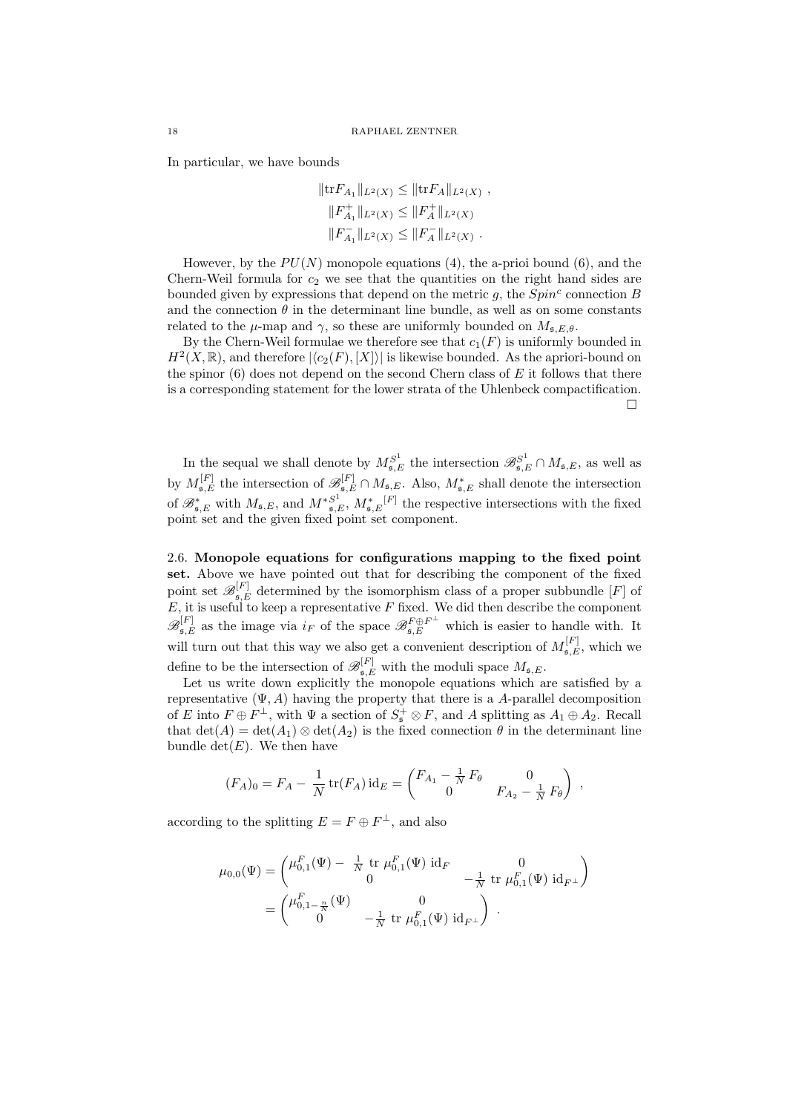In particular, we have bounds

$$
||\text{tr}F_{A_1}||_{L^2(X)} \leq ||\text{tr}F_A||_{L^2(X)},
$$
  

$$
||F_A^+||_{L^2(X)} \leq ||F_A^+||_{L^2(X)}
$$
  

$$
||F_{A_1}^-||_{L^2(X)} \leq ||F_A^-||_{L^2(X)}.
$$

However, by the  $PU(N)$  monopole equations (4), the a-prior bound (6), and the Chern-Weil formula for  $c_2$  we see that the quantities on the right hand sides are bounded given by expressions that depend on the metric  $g$ , the  $Spin<sup>c</sup>$  connection  $B$ and the connection  $\theta$  in the determinant line bundle, as well as on some constants related to the  $\mu$ -map and  $\gamma$ , so these are uniformly bounded on  $M_{\mathfrak{s},E,\theta}$ .

By the Chern-Weil formulae we therefore see that  $c_1(F)$  is uniformly bounded in  $H^2(X,\mathbb{R})$ , and therefore  $|\langle c_2(F), [X] \rangle|$  is likewise bounded. As the apriori-bound on the spinor  $(6)$  does not depend on the second Chern class of E it follows that there is a corresponding statement for the lower strata of the Uhlenbeck compactification.  $\Box$ 

In the sequal we shall denote by  $M_{\mathfrak{s},E}^{S^1}$  the intersection  $\mathscr{B}_{\mathfrak{s},E}^{S^1} \cap M_{\mathfrak{s},E}$ , as well as by  $M_{\mathfrak{s},E}^{[F]}$  the intersection of  $\mathscr{B}_{\mathfrak{s},E}^{[F]} \cap M_{\mathfrak{s},E}$ . Also,  $M_{\mathfrak{s},E}^*$  shall denote the intersection of  $\mathscr{B}_{\mathfrak{s},E}^*$  with  $M_{\mathfrak{s},E}$ , and  $M^*_{\mathfrak{s},E}^{S^1}$ ,  $M^*_{\mathfrak{s},E}^{[F]}$  the respective intersections with the fixed point set and the given fixed point set component.

2.6. Monopole equations for configurations mapping to the fixed point set. Above we have pointed out that for describing the component of the fixed point set  $\mathscr{B}_{\mathfrak{s},E}^{[F]}$  determined by the isomorphism class of a proper subbundle  $[F]$  of  $E$ , it is useful to keep a representative F fixed. We did then describe the component  $\mathscr{B}_{\mathfrak{s},E}^{[F]}$  as the image via  $i_F$  of the space  $\mathscr{B}_{\mathfrak{s},E}^{F \oplus F^{\perp}}$  which is easier to handle with. It will turn out that this way we also get a convenient description of  $M_{\mathfrak{s},E}^{[F]}$ , which we define to be the intersection of  $\mathscr{B}_{\mathfrak{s},E}^{[F]}$  with the moduli space  $M_{\mathfrak{s},E}$ .

Let us write down explicitly the monopole equations which are satisfied by a representative  $(\Psi, A)$  having the property that there is a A-parallel decomposition of E into  $F \oplus F^{\perp}$ , with  $\Psi$  a section of  $S^+_{\mathfrak{s}} \otimes F$ , and A splitting as  $A_1 \oplus A_2$ . Recall that  $\det(A) = \det(A_1) \otimes \det(A_2)$  is the fixed connection  $\theta$  in the determinant line bundle  $\det(E)$ . We then have

$$
(F_A)_0 = F_A - \frac{1}{N} \operatorname{tr}(F_A) \operatorname{id}_E = \begin{pmatrix} F_{A_1} - \frac{1}{N} F_\theta & 0 \\ 0 & F_{A_2} - \frac{1}{N} F_\theta \end{pmatrix} ,
$$

according to the splitting  $E = F \oplus F^{\perp}$ , and also

$$
\mu_{0,0}(\Psi) = \begin{pmatrix} \mu_{0,1}^F(\Psi) - \frac{1}{N} \text{ tr } \mu_{0,1}^F(\Psi) \text{ id}_F & 0 \\ 0 & -\frac{1}{N} \text{ tr } \mu_{0,1}^F(\Psi) \text{ id}_{F^\perp} \end{pmatrix}
$$

$$
= \begin{pmatrix} \mu_{0,1-\frac{n}{N}}^F(\Psi) & 0 \\ 0 & -\frac{1}{N} \text{ tr } \mu_{0,1}^F(\Psi) \text{ id}_{F^\perp} \end{pmatrix}.
$$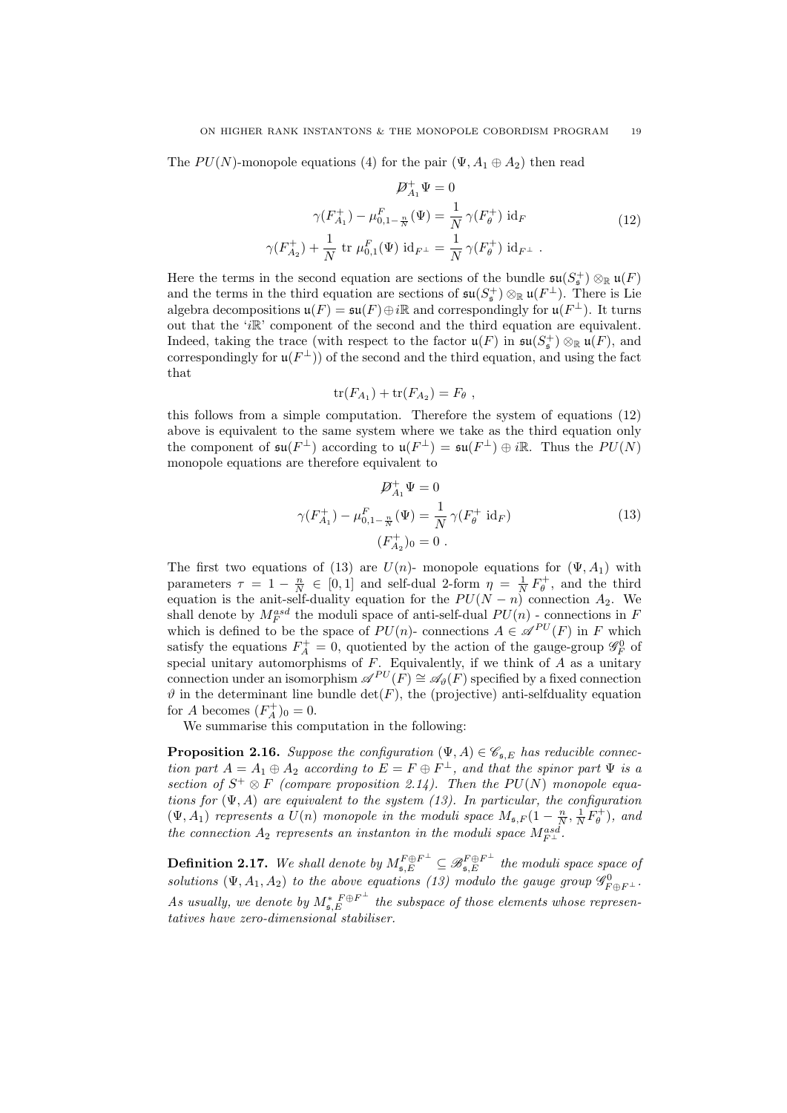The  $PU(N)$ -monopole equations (4) for the pair  $(\Psi, A_1 \oplus A_2)$  then read

$$
\mathcal{D}_{A_1}^+ \Psi = 0
$$
  

$$
\gamma(F_{A_1}^+) - \mu_{0,1-\frac{n}{N}}^F(\Psi) = \frac{1}{N} \gamma(F_\theta^+) \mathrm{id}_F
$$
  

$$
\gamma(F_{A_2}^+) + \frac{1}{N} \mathrm{tr} \mu_{0,1}^F(\Psi) \mathrm{id}_{F^\perp} = \frac{1}{N} \gamma(F_\theta^+) \mathrm{id}_{F^\perp} .
$$
 (12)

Here the terms in the second equation are sections of the bundle  $\mathfrak{su}(S^+_{\mathfrak{s}}) \otimes_{\mathbb{R}} \mathfrak{u}(F)$ and the terms in the third equation are sections of  $\mathfrak{su}(S_{\mathfrak{s}}^+) \otimes_{\mathbb{R}} \mathfrak{u}(F^{\perp})$ . There is Lie algebra decompositions  $\mathfrak{u}(F) = \mathfrak{su}(F) \oplus i\mathbb{R}$  and correspondingly for  $\mathfrak{u}(F^{\perp})$ . It turns out that the 'iR' component of the second and the third equation are equivalent. Indeed, taking the trace (with respect to the factor  $\mathfrak{u}(F)$  in  $\mathfrak{su}(S^+_{\mathfrak{s}}) \otimes_{\mathbb{R}} \mathfrak{u}(F)$ , and correspondingly for  $\mathfrak{u}(F^{\perp})$  of the second and the third equation, and using the fact that

$$
\operatorname{tr}(F_{A_1}) + \operatorname{tr}(F_{A_2}) = F_{\theta} ,
$$

this follows from a simple computation. Therefore the system of equations (12) above is equivalent to the same system where we take as the third equation only the component of  $\mathfrak{su}(F^{\perp})$  according to  $\mathfrak{u}(F^{\perp}) = \mathfrak{su}(F^{\perp}) \oplus i\mathbb{R}$ . Thus the  $PU(N)$ monopole equations are therefore equivalent to

$$
\mathcal{D}_{A_1}^+ \Psi = 0
$$
  

$$
\gamma(F_{A_1}^+) - \mu_{0,1-\frac{n}{N}}^F(\Psi) = \frac{1}{N} \gamma(F_\theta^+ \text{ id}_F)
$$
  

$$
(F_{A_2}^+)_{0} = 0.
$$
 (13)

The first two equations of (13) are  $U(n)$ - monopole equations for  $(\Psi, A_1)$  with parameters  $\tau = 1 - \frac{n}{N} \in [0, 1]$  and self-dual 2-form  $\eta = \frac{1}{N} F_{\theta}^{+}$ , and the third equation is the anit-self-duality equation for the  $PU(N - n)$  connection  $A_2$ . We shall denote by  $M_F^{asd}$  the moduli space of anti-self-dual  $PU(n)$  - connections in F which is defined to be the space of  $PU(n)$ - connections  $A \in \mathcal{A}^{PU}(F)$  in F which satisfy the equations  $F_A^+ = 0$ , quotiented by the action of the gauge-group  $\mathscr{G}_F^0$  of special unitary automorphisms of  $F$ . Equivalently, if we think of  $\overline{A}$  as a unitary connection under an isomorphism  $\mathscr{A}^{PU}(\tilde{F}) \cong \mathscr{A}_{\vartheta}(\tilde{F})$  specified by a fixed connection  $\vartheta$  in the determinant line bundle det(F), the (projective) anti-selfduality equation for A becomes  $(F_A^+)_0 = 0$ .

We summarise this computation in the following:

**Proposition 2.16.** Suppose the configuration  $(\Psi, A) \in \mathcal{C}_{\mathfrak{s},E}$  has reducible connection part  $A = A_1 \oplus A_2$  according to  $E = F \oplus F^{\perp}$ , and that the spinor part  $\Psi$  is a section of  $S^+ \otimes F$  (compare proposition 2.14). Then the PU(N) monopole equations for  $(\Psi, A)$  are equivalent to the system (13). In particular, the configuration  $(\Psi, A_1)$  represents a  $U(n)$  monopole in the moduli space  $M_{\mathfrak{s},F}(1-\frac{n}{N},\frac{1}{N}F_{\theta}^+)$ , and the connection  $A_2$  represents an instanton in the moduli space  $M_{F^{\perp}}^{asd}$ .

**Definition 2.17.** We shall denote by  $M_{\mathfrak{s},E}^{F\oplus F^{\perp}} \subseteq \mathscr{B}_{\mathfrak{s},E}^{F\oplus F^{\perp}}$  the moduli space space of solutions  $(\Psi, A_1, A_2)$  to the above equations (13) modulo the gauge group  $\mathscr{G}^0_{F \oplus F^{\perp}}$ . As usually, we denote by  $M_{\mathfrak{s},E}^* \oplus F^{\perp}$  the subspace of those elements whose representatives have zero-dimensional stabiliser.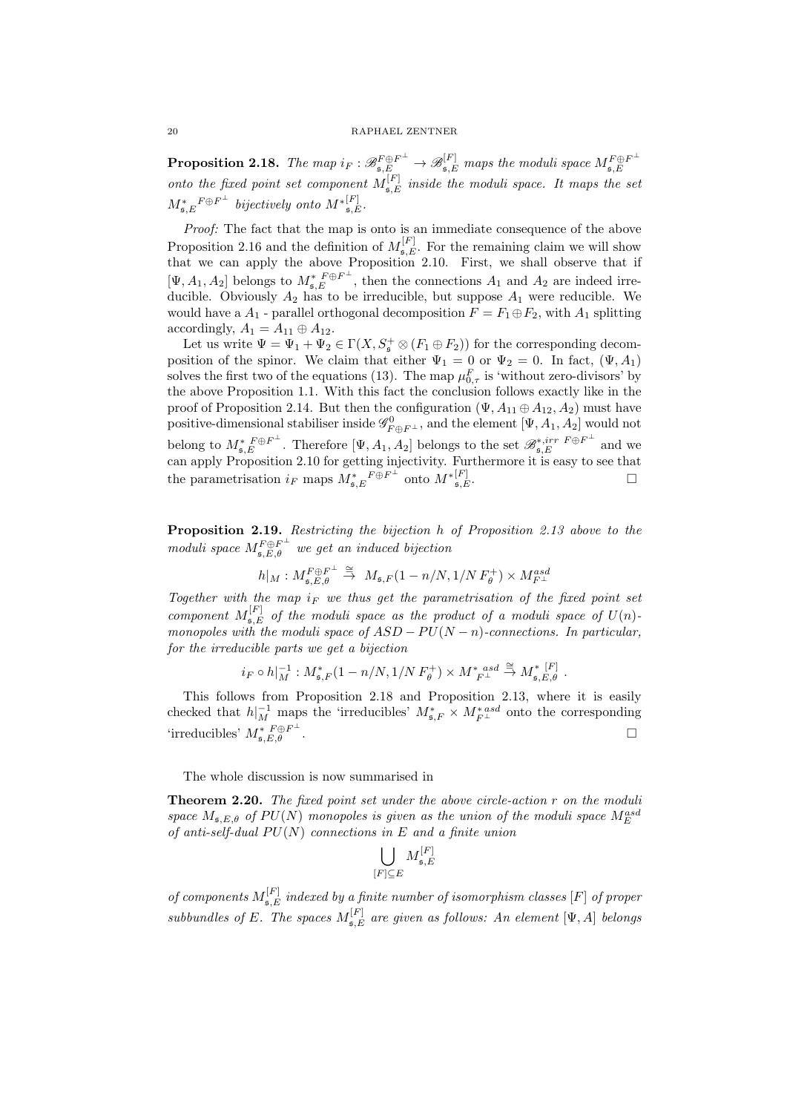**Proposition 2.18.** The map  $i_F : \mathscr{B}^{F \oplus F^{\perp}}_{\mathfrak{s},E} \to \mathscr{B}^{[F]}_{\mathfrak{s},E}$  maps the moduli space  $M_{\mathfrak{s},E}^{F \oplus F^{\perp}}$  $\mathfrak{s},E$ onto the fixed point set component  $M_{\mathfrak{s},E}^{[F]}$  inside the moduli space. It maps the set  $M_{\mathfrak{s},E}^*{}^{F \oplus F^\perp}$  bijectively onto  $M^{*[F]}_{\mathfrak{s},E}$ .

Proof: The fact that the map is onto is an immediate consequence of the above Proposition 2.16 and the definition of  $M_{\mathfrak{s},E}^{[F]}$ . For the remaining claim we will show that we can apply the above Proposition 2.10. First, we shall observe that if  $[\Psi, A_1, A_2]$  belongs to  $M_{\mathfrak{s},E}^* \oplus F^{\perp}$ , then the connections  $A_1$  and  $A_2$  are indeed irreducible. Obviously  $A_2$  has to be irreducible, but suppose  $A_1$  were reducible. We would have a  $A_1$  - parallel orthogonal decomposition  $F = F_1 \oplus F_2$ , with  $A_1$  splitting accordingly,  $A_1 = A_{11} \oplus A_{12}$ .

Let us write  $\Psi = \Psi_1 + \Psi_2 \in \Gamma(X, S^+_{\mathfrak{s}} \otimes (F_1 \oplus F_2))$  for the corresponding decomposition of the spinor. We claim that either  $\Psi_1 = 0$  or  $\Psi_2 = 0$ . In fact,  $(\Psi, A_1)$ solves the first two of the equations (13). The map  $\mu_{0,\tau}^F$  is 'without zero-divisors' by the above Proposition 1.1. With this fact the conclusion follows exactly like in the proof of Proposition 2.14. But then the configuration  $(\Psi, A_{11} \oplus A_{12}, A_2)$  must have positive-dimensional stabiliser inside  $\mathscr{G}^0_{F\oplus F^\perp}$ , and the element  $[\Psi, A_1, A_2]$  would not belong to  $M_{\mathfrak{s},E}^*{}^{F\oplus F^{\perp}}$ . Therefore  $[\Psi, A_1, A_2]$  belongs to the set  $\mathscr{B}_{\mathfrak{s},E}^{*,irr}{}^{F\oplus F^{\perp}}$  and we can apply Proposition 2.10 for getting injectivity. Furthermore it is easy to see that the parametrisation  $i_F$  maps  $M_{\mathfrak{s},E}^* F \oplus F^{\perp}$  onto  $M_{\mathfrak{s},E}^{*[F]}$  $\left[\begin{matrix}F\end{matrix}\right]$ ,  $\mathfrak{s}, E$ .

Proposition 2.19. Restricting the bijection h of Proposition 2.13 above to the moduli space  $M_{\mathfrak{s},E,\theta}^{F\oplus F^{\perp}}$  we get an induced bijection

$$
h|_M: M^{{\cal F}\oplus{\cal F}^\perp}_{\mathfrak{s},E,\theta} \stackrel{\cong}{\to} M_{\mathfrak{s},F}(1-n/N,1/N\,F^+_\theta)\times M^{\text{\it asd}}_{{\cal F}^\perp}
$$

Together with the map  $i_F$  we thus get the parametrisation of the fixed point set component  $M_{\mathfrak{s},E}^{[F]}$  of the moduli space as the product of a moduli space of  $U(n)$ monopoles with the moduli space of  $ASD - PU(N - n)$ -connections. In particular, for the irreducible parts we get a bijection

$$
i_F \circ h|_M^{-1}: M_{\mathfrak{s}, F}^*(1-n/N, 1/N \, F_\theta^+) \times M_{\ F^\perp}^{*\; asd} \stackrel{\cong}{\to} M_{\mathfrak{s}, E, \theta}^{* \; [F]} \; .
$$

This follows from Proposition 2.18 and Proposition 2.13, where it is easily checked that  $h|_M^{-1}$  maps the 'irreducibles'  $M^*_{\mathfrak{s},F} \times M^{* \, asd}_{F^{\perp}}$  onto the corresponding 'irreducibles'  $M_{\mathfrak{s},E,\theta}^*$   $F^{\oplus F^{\perp}}$ .  $□$ 

The whole discussion is now summarised in

**Theorem 2.20.** The fixed point set under the above circle-action r on the moduli space  $M_{\mathfrak{s},E,\theta}$  of  $PU(N)$  monopoles is given as the union of the moduli space  $M_E^{asd}$ of anti-self-dual  $PU(N)$  connections in E and a finite union

$$
\bigcup_{[F]\subseteq E}M_{\mathfrak{s},E}^{[F]}
$$

of components  $M_{\mathfrak{s},E}^{[F]}$  indexed by a finite number of isomorphism classes  $[F]$  of proper subbundles of E. The spaces  $M_{\mathfrak{s},E}^{[F]}$  are given as follows: An element  $[\Psi, A]$  belongs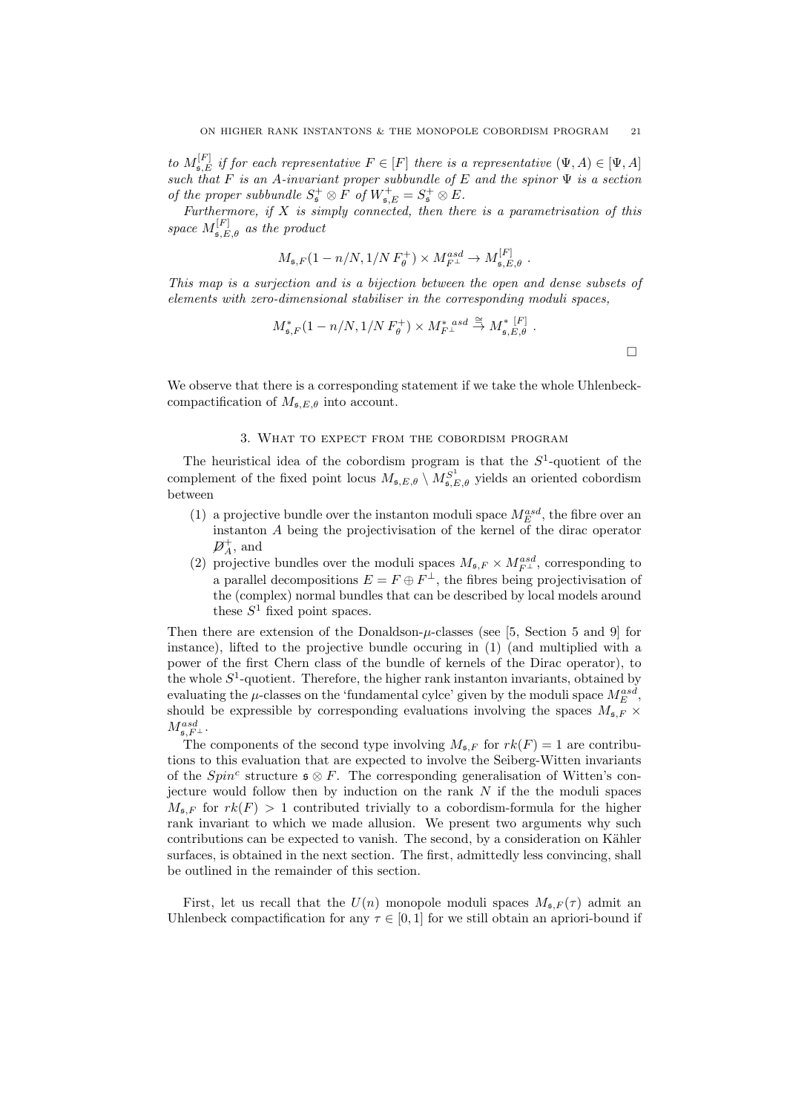to  $M_{\mathfrak{s},E}^{[F]}$  if for each representative  $F \in [F]$  there is a representative  $(\Psi, A) \in [\Psi, A]$ such that F is an A-invariant proper subbundle of E and the spinor  $\Psi$  is a section of the proper subbundle  $S^+_{\mathfrak{s}} \otimes F$  of  $W^+_{\mathfrak{s},E} = S^+_{\mathfrak{s}} \otimes E$ .

Furthermore, if  $X$  is simply connected, then there is a parametrisation of this space  $M_{\mathfrak{s},E,\theta}^{[F]}$  as the product

$$
M_{\mathfrak{s},F}(1-n/N,1/N F_{\theta}^+) \times M_{F^{\perp}}^{asd} \to M_{\mathfrak{s},E,\theta}^{[F]}.
$$

This map is a surjection and is a bijection between the open and dense subsets of elements with zero-dimensional stabiliser in the corresponding moduli spaces,

$$
M_{\mathfrak{s},F}^*(1 - n/N, 1/N F_{\theta}^+) \times M_{F^{\perp}}^{*} \stackrel{\text{as} \ d \cong}{\to} M_{\mathfrak{s},E,\theta}^{*} .
$$

We observe that there is a corresponding statement if we take the whole Uhlenbeckcompactification of  $M_{\mathfrak{s},E,\theta}$  into account.

### 3. What to expect from the cobordism program

The heuristical idea of the cobordism program is that the  $S^1$ -quotient of the complement of the fixed point locus  $M_{\mathfrak{s},E,\theta} \setminus M_{\mathfrak{s},E,\theta}^{S^1}$  yields an oriented cobordism between

- (1) a projective bundle over the instanton moduli space  $M_E^{asd}$ , the fibre over an instanton A being the projectivisation of the kernel of the dirac operator  $\mathcal{D}_A^+$ , and
- (2) projective bundles over the moduli spaces  $M_{\mathfrak{s},F} \times M_{F^{\perp}}^{asd}$ , corresponding to a parallel decompositions  $E = F \oplus F^{\perp}$ , the fibres being projectivisation of the (complex) normal bundles that can be described by local models around these  $S^1$  fixed point spaces.

Then there are extension of the Donaldson- $\mu$ -classes (see [5, Section 5 and 9] for instance), lifted to the projective bundle occuring in (1) (and multiplied with a power of the first Chern class of the bundle of kernels of the Dirac operator), to the whole  $S^1$ -quotient. Therefore, the higher rank instanton invariants, obtained by evaluating the  $\mu$ -classes on the 'fundamental cylce' given by the moduli space  $M_E^{asd}$ , should be expressible by corresponding evaluations involving the spaces  $M_{\mathfrak{s},F}$  ×  $M^{asd}_{{\mathfrak s}, F^{\perp}}.$ 

The components of the second type involving  $M_{\mathfrak{s},F}$  for  $rk(F) = 1$  are contributions to this evaluation that are expected to involve the Seiberg-Witten invariants of the  $Spin<sup>c</sup>$  structure  $\mathfrak{s} \otimes F$ . The corresponding generalisation of Witten's conjecture would follow then by induction on the rank  $N$  if the the moduli spaces  $M_{\sigma F}$  for  $rk(F) > 1$  contributed trivially to a cobordism-formula for the higher rank invariant to which we made allusion. We present two arguments why such contributions can be expected to vanish. The second, by a consideration on Kähler surfaces, is obtained in the next section. The first, admittedly less convincing, shall be outlined in the remainder of this section.

First, let us recall that the  $U(n)$  monopole moduli spaces  $M_{\mathfrak{s},F}(\tau)$  admit an Uhlenbeck compactification for any  $\tau \in [0, 1]$  for we still obtain an apriori-bound if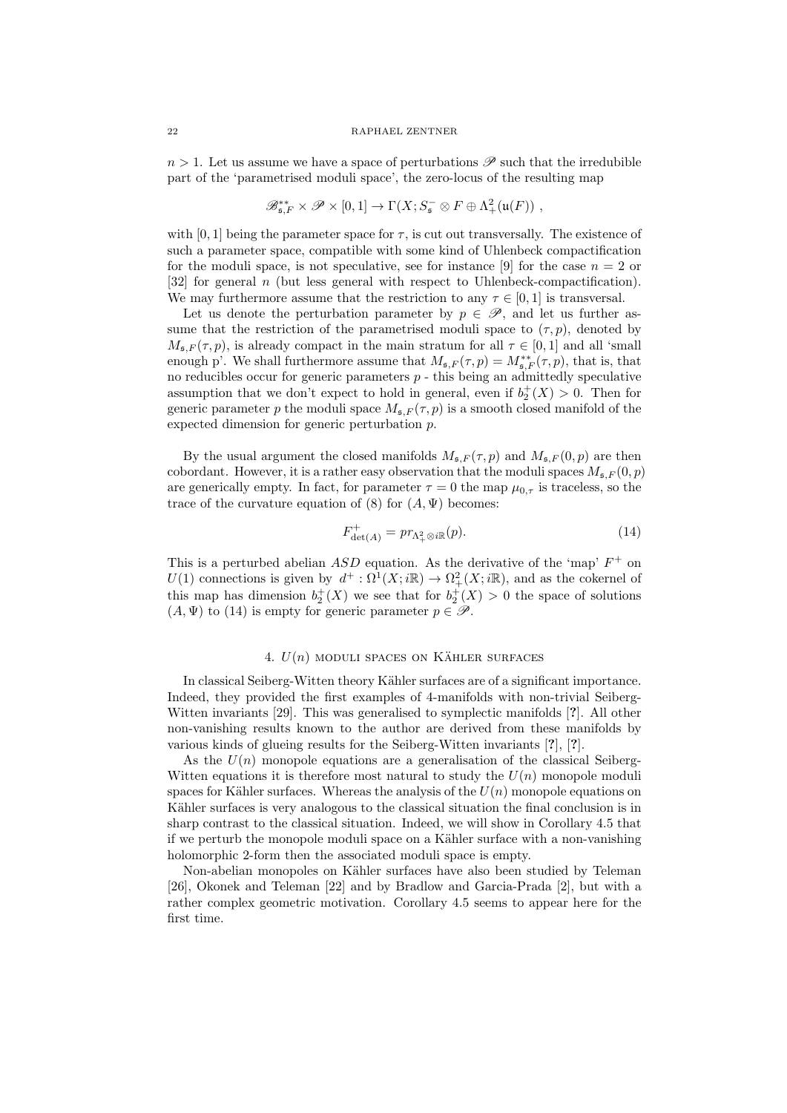$n > 1$ . Let us assume we have a space of perturbations  $\mathscr P$  such that the irredubible part of the 'parametrised moduli space', the zero-locus of the resulting map

$$
\mathscr{B}_{\mathfrak{s},F}^{**} \times \mathscr{P} \times [0,1] \to \Gamma(X; S_{\mathfrak{s}}^- \otimes F \oplus \Lambda^2_+(\mathfrak{u}(F)) ,
$$

with  $[0, 1]$  being the parameter space for  $\tau$ , is cut out transversally. The existence of such a parameter space, compatible with some kind of Uhlenbeck compactification for the moduli space, is not speculative, see for instance [9] for the case  $n = 2$  or [32] for general n (but less general with respect to Uhlenbeck-compactification). We may furthermore assume that the restriction to any  $\tau \in [0, 1]$  is transversal.

Let us denote the perturbation parameter by  $p \in \mathscr{P}$ , and let us further assume that the restriction of the parametrised moduli space to  $(\tau, p)$ , denoted by  $M_{\mathfrak{s},F}(\tau,p)$ , is already compact in the main stratum for all  $\tau \in [0,1]$  and all 'small enough p'. We shall furthermore assume that  $M_{\mathfrak{s},F}(\tau,p) = M_{\mathfrak{s},F}^{**}(\tau,p)$ , that is, that no reducibles occur for generic parameters  $p$  - this being an admittedly speculative assumption that we don't expect to hold in general, even if  $b_2^+(X) > 0$ . Then for generic parameter p the moduli space  $M_{\mathfrak{s},F}(\tau,p)$  is a smooth closed manifold of the expected dimension for generic perturbation p.

By the usual argument the closed manifolds  $M_{\pi F} (\tau, p)$  and  $M_{\pi F} (0, p)$  are then cobordant. However, it is a rather easy observation that the moduli spaces  $M_{\rm s}F(0,p)$ are generically empty. In fact, for parameter  $\tau = 0$  the map  $\mu_{0,\tau}$  is traceless, so the trace of the curvature equation of (8) for  $(A, \Psi)$  becomes:

$$
F_{\det(A)}^+ = pr_{\Lambda_+^2 \otimes i\mathbb{R}}(p). \tag{14}
$$

This is a perturbed abelian  $ASD$  equation. As the derivative of the 'map'  $F^+$  on U(1) connections is given by  $d^+ : \Omega^1(X; i\mathbb{R}) \to \Omega^2_+(X; i\mathbb{R})$ , and as the cokernel of this map has dimension  $b_2^+(X)$  we see that for  $b_2^+(X) > 0$  the space of solutions  $(A, \Psi)$  to (14) is empty for generic parameter  $p \in \mathscr{P}$ .

# 4.  $U(n)$  moduli spaces on KÄHLER surfaces

In classical Seiberg-Witten theory Kähler surfaces are of a significant importance. Indeed, they provided the first examples of 4-manifolds with non-trivial Seiberg-Witten invariants [29]. This was generalised to symplectic manifolds [?]. All other non-vanishing results known to the author are derived from these manifolds by various kinds of glueing results for the Seiberg-Witten invariants [?], [?].

As the  $U(n)$  monopole equations are a generalisation of the classical Seiberg-Witten equations it is therefore most natural to study the  $U(n)$  monopole moduli spaces for Kähler surfaces. Whereas the analysis of the  $U(n)$  monopole equations on Kähler surfaces is very analogous to the classical situation the final conclusion is in sharp contrast to the classical situation. Indeed, we will show in Corollary 4.5 that if we perturb the monopole moduli space on a Kähler surface with a non-vanishing holomorphic 2-form then the associated moduli space is empty.

Non-abelian monopoles on Kähler surfaces have also been studied by Teleman [26], Okonek and Teleman [22] and by Bradlow and Garcia-Prada [2], but with a rather complex geometric motivation. Corollary 4.5 seems to appear here for the first time.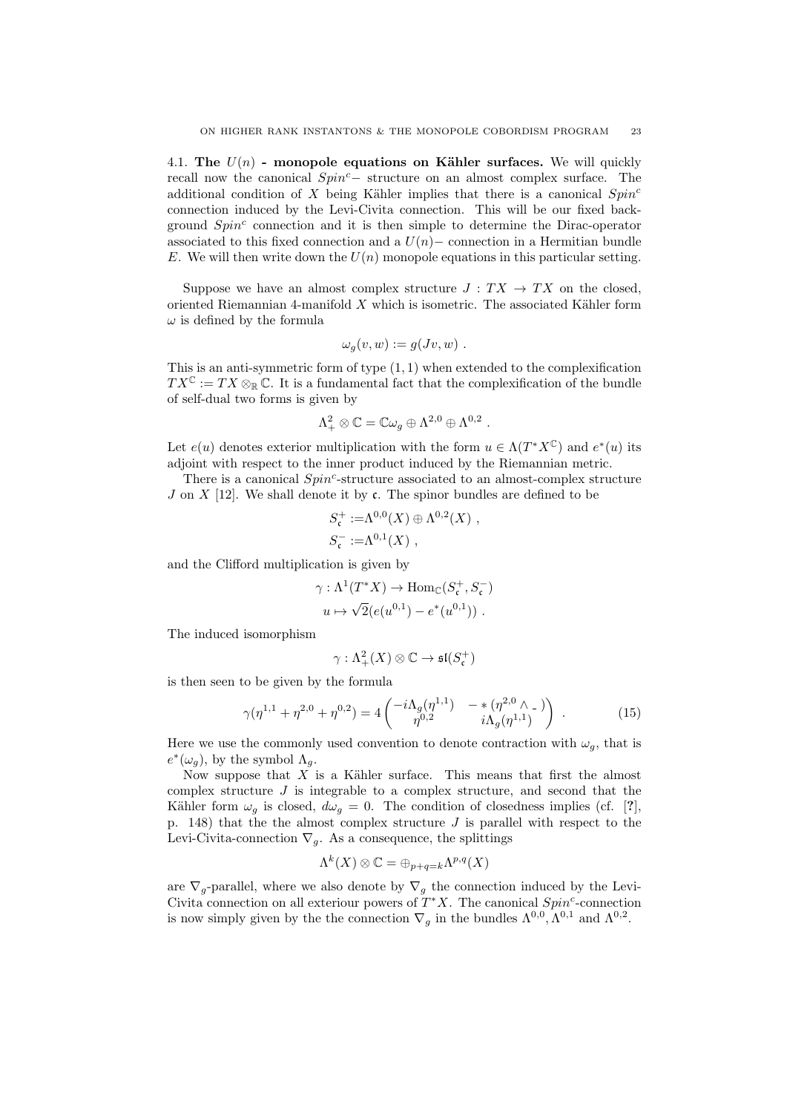4.1. The  $U(n)$  - monopole equations on Kähler surfaces. We will quickly recall now the canonical Spin<sup>c</sup>− structure on an almost complex surface. The additional condition of X being Kähler implies that there is a canonical  $Spin<sup>c</sup>$ connection induced by the Levi-Civita connection. This will be our fixed background  $Spin<sup>c</sup>$  connection and it is then simple to determine the Dirac-operator associated to this fixed connection and a  $U(n)$  – connection in a Hermitian bundle E. We will then write down the  $U(n)$  monopole equations in this particular setting.

Suppose we have an almost complex structure  $J : TX \to TX$  on the closed, oriented Riemannian 4-manifold  $X$  which is isometric. The associated Kähler form  $\omega$  is defined by the formula

$$
\omega_g(v, w) := g(Jv, w) .
$$

This is an anti-symmetric form of type  $(1, 1)$  when extended to the complexification  $TX^{\mathbb{C}} := TX \otimes_{\mathbb{R}} \mathbb{C}$ . It is a fundamental fact that the complexification of the bundle of self-dual two forms is given by

$$
\Lambda^2_+\otimes \mathbb{C}=\mathbb{C}\omega_g\oplus \Lambda^{2,0}\oplus \Lambda^{0,2} \ .
$$

Let  $e(u)$  denotes exterior multiplication with the form  $u \in \Lambda(T^*X^{\mathbb{C}})$  and  $e^*(u)$  its adjoint with respect to the inner product induced by the Riemannian metric.

There is a canonical  $Spin^c$ -structure associated to an almost-complex structure J on X [12]. We shall denote it by c. The spinor bundles are defined to be

$$
S_{\mathfrak{c}}^{+} := \Lambda^{0,0}(X) \oplus \Lambda^{0,2}(X) ,
$$
  

$$
S_{\mathfrak{c}}^{-} := \Lambda^{0,1}(X) ,
$$

and the Clifford multiplication is given by

$$
\gamma: \Lambda^1(T^*X) \to \text{Hom}_{\mathbb{C}}(S^+_{\mathfrak{c}}, S^-_{\mathfrak{c}})
$$

$$
u \mapsto \sqrt{2}(e(u^{0,1}) - e^*(u^{0,1})) .
$$

The induced isomorphism

$$
\gamma:\Lambda^2_+(X)\otimes\mathbb{C}\to \mathfrak{sl}(S^+_{\mathfrak{c}})
$$

is then seen to be given by the formula

$$
\gamma(\eta^{1,1} + \eta^{2,0} + \eta^{0,2}) = 4 \begin{pmatrix} -i\Lambda_g(\eta^{1,1}) & -*(\eta^{2,0} \wedge \square) \\ \eta^{0,2} & i\Lambda_g(\eta^{1,1}) \end{pmatrix} . \tag{15}
$$

Here we use the commonly used convention to denote contraction with  $\omega_g$ , that is  $e^*(\omega_g)$ , by the symbol  $\Lambda_g$ .

Now suppose that  $X$  is a Kähler surface. This means that first the almost complex structure  $J$  is integrable to a complex structure, and second that the Kähler form  $\omega_q$  is closed,  $d\omega_q = 0$ . The condition of closedness implies (cf. [?], p. 148) that the the almost complex structure  $J$  is parallel with respect to the Levi-Civita-connection  $\nabla_q$ . As a consequence, the splittings

$$
\Lambda^k(X)\otimes\mathbb{C}=\oplus_{p+q=k}\Lambda^{p,q}(X)
$$

are  $\nabla_g$ -parallel, where we also denote by  $\nabla_g$  the connection induced by the Levi-Civita connection on all exteriour powers of  $T^*X$ . The canonical  $Spin^c$ -connection is now simply given by the the connection  $\nabla_g$  in the bundles  $\Lambda^{0,0}, \Lambda^{0,1}$  and  $\Lambda^{0,2}$ .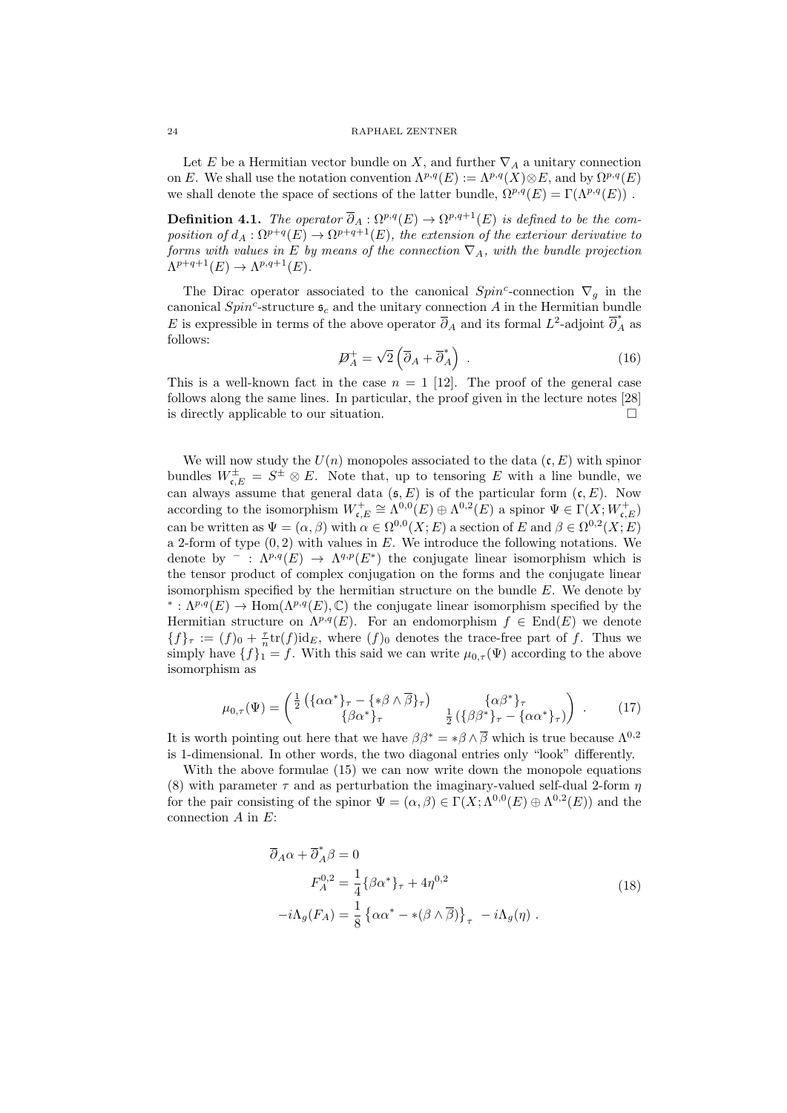Let E be a Hermitian vector bundle on X, and further  $\nabla_A$  a unitary connection on E. We shall use the notation convention  $\Lambda^{p,q}(E) := \Lambda^{p,q}(X) \otimes E$ , and by  $\Omega^{p,q}(E)$ we shall denote the space of sections of the latter bundle,  $\Omega^{p,q}(E) = \Gamma(\Lambda^{p,q}(E))$ .

**Definition 4.1.** The operator  $\overline{\partial}_A : \Omega^{p,q}(E) \to \Omega^{p,q+1}(E)$  is defined to be the composition of  $d_A: \Omega^{p+q}(E) \to \Omega^{p+q+1}(E)$ , the extension of the exteriour derivative to forms with values in E by means of the connection  $\nabla_A$ , with the bundle projection  $\Lambda^{p+q+1}(E) \to \Lambda^{p,q+1}(E).$ 

The Dirac operator associated to the canonical  $Spin<sup>c</sup>$ -connection  $\nabla_g$  in the canonical  $Spin^c$ -structure  $\mathfrak{s}_c$  and the unitary connection A in the Hermitian bundle E is expressible in terms of the above operator  $\overline{\partial}_A$  and its formal  $L^2$ -adjoint  $\overline{\partial}_A^*$  as follows: √

$$
\mathcal{D}_A^+ = \sqrt{2} \left( \overline{\partial}_A + \overline{\partial}_A^* \right) \tag{16}
$$

This is a well-known fact in the case  $n = 1$  [12]. The proof of the general case follows along the same lines. In particular, the proof given in the lecture notes [28] is directly applicable to our situation.

We will now study the  $U(n)$  monopoles associated to the data  $(c, E)$  with spinor bundles  $W_{\mathfrak{c},E}^{\pm} = S^{\pm} \otimes E$ . Note that, up to tensoring E with a line bundle, we can always assume that general data  $(\mathfrak{s}, E)$  is of the particular form  $(\mathfrak{c}, E)$ . Now according to the isomorphism  $W_{\mathfrak{c},E}^+ \cong \Lambda^{0,0}(E) \oplus \Lambda^{0,2}(E)$  a spinor  $\Psi \in \Gamma(X;W_{\mathfrak{c},E}^+)$ can be written as  $\Psi = (\alpha, \beta)$  with  $\alpha \in \Omega^{0,0}(X; E)$  a section of E and  $\beta \in \Omega^{0,2}(X; E)$ a 2-form of type  $(0, 2)$  with values in E. We introduce the following notations. We denote by  $\overline{\phantom{a}}: \Lambda^{p,q}(E) \to \Lambda^{q,p}(E^*)$  the conjugate linear isomorphism which is the tensor product of complex conjugation on the forms and the conjugate linear isomorphism specified by the hermitian structure on the bundle  $E$ . We denote by <sup>\*</sup>:  $\Lambda^{p,q}(E)$  → Hom( $\Lambda^{p,q}(E), \mathbb{C}$ ) the conjugate linear isomorphism specified by the Hermitian structure on  $\Lambda^{p,q}(E)$ . For an endomorphism  $f \in End(E)$  we denote  ${f}_{\tau} := (f)_0 + \frac{\tau}{n} \text{tr}(f) \text{id}_E$ , where  $(f)_0$  denotes the trace-free part of f. Thus we simply have  $\{f\}_{1} = f$ . With this said we can write  $\mu_{0,\tau}(\Psi)$  according to the above isomorphism as

$$
\mu_{0,\tau}(\Psi) = \begin{pmatrix} \frac{1}{2} \left( \{ \alpha \alpha^* \}_{\tau} - \{ * \beta \wedge \overline{\beta} \}_{\tau} \right) & \{ \alpha \beta^* \}_{\tau} \\ \{ \beta \alpha^* \}_{\tau} & \frac{1}{2} \left( \{ \beta \beta^* \}_{\tau} - \{ \alpha \alpha^* \}_{\tau} \right) \end{pmatrix} . \tag{17}
$$

It is worth pointing out here that we have  $\beta \beta^* = * \beta \wedge \overline{\beta}$  which is true because  $\Lambda^{0,2}$ is 1-dimensional. In other words, the two diagonal entries only "look" differently.

With the above formulae (15) we can now write down the monopole equations (8) with parameter  $\tau$  and as perturbation the imaginary-valued self-dual 2-form  $\eta$ for the pair consisting of the spinor  $\Psi = (\alpha, \beta) \in \Gamma(X; \Lambda^{0,0}(E) \oplus \Lambda^{0,2}(E))$  and the connection  $A$  in  $E$ :

$$
\overline{\partial}_A \alpha + \overline{\partial}_A^* \beta = 0
$$
  
\n
$$
F_A^{0,2} = \frac{1}{4} \{ \beta \alpha^* \}_\tau + 4\eta^{0,2}
$$
  
\n
$$
-i\Lambda_g(F_A) = \frac{1}{8} \{ \alpha \alpha^* - *(\beta \wedge \overline{\beta}) \}_\tau - i\Lambda_g(\eta) .
$$
\n(18)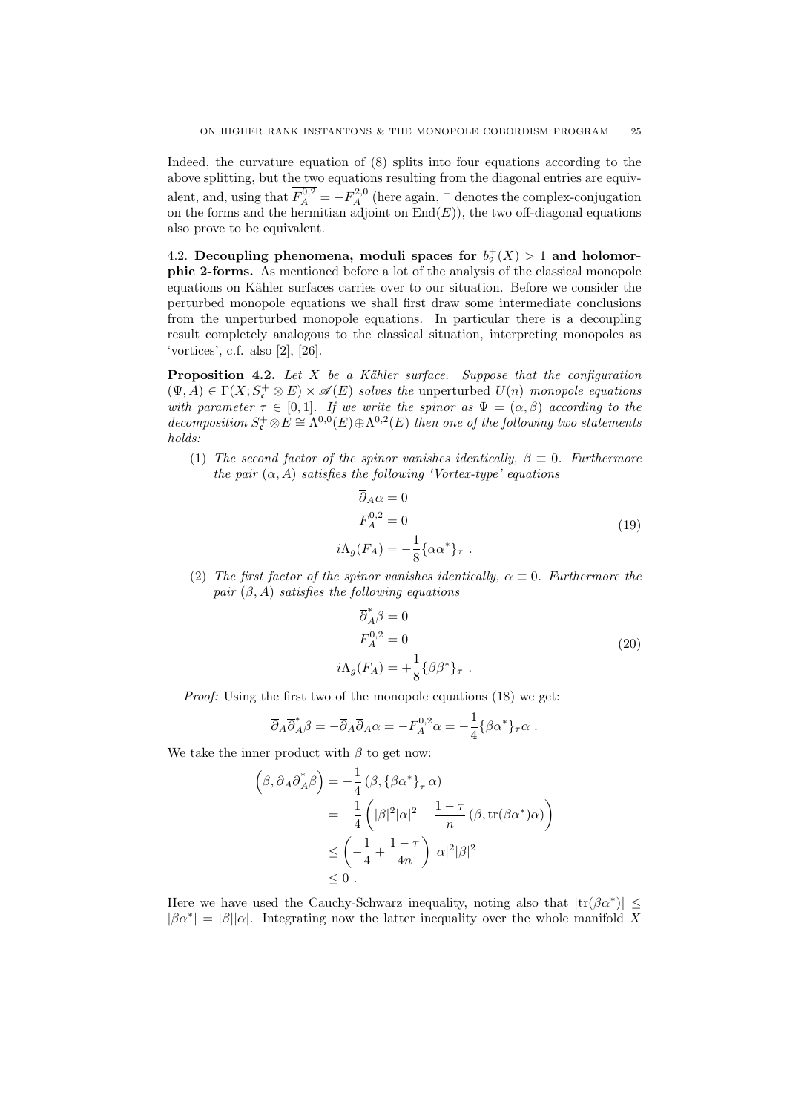Indeed, the curvature equation of (8) splits into four equations according to the above splitting, but the two equations resulting from the diagonal entries are equivalent, and, using that  $F_A^{0,2} = -F_A^{2,0}$  (here again,  $\overline{\phantom{a}}$  denotes the complex-conjugation on the forms and the hermitian adjoint on  $\text{End}(E)$ , the two off-diagonal equations also prove to be equivalent.

4.2. Decoupling phenomena, moduli spaces for  $b_2^+(X) > 1$  and holomorphic 2-forms. As mentioned before a lot of the analysis of the classical monopole equations on Kähler surfaces carries over to our situation. Before we consider the perturbed monopole equations we shall first draw some intermediate conclusions from the unperturbed monopole equations. In particular there is a decoupling result completely analogous to the classical situation, interpreting monopoles as 'vortices', c.f. also [2], [26].

**Proposition 4.2.** Let  $X$  be a Kähler surface. Suppose that the configuration  $(\Psi, A) \in \Gamma(X; S^+_{\mathfrak{c}} \otimes E) \times \mathscr{A}(E)$  solves the unperturbed  $U(n)$  monopole equations with parameter  $\tau \in [0,1]$ . If we write the spinor as  $\Psi = (\alpha, \beta)$  according to the decomposition  $S_{\mathfrak{c}}^+ \otimes E \cong \Lambda^{0,0}(E) \oplus \Lambda^{0,2}(E)$  then one of the following two statements holds:

(1) The second factor of the spinor vanishes identically,  $\beta \equiv 0$ . Furthermore the pair  $(\alpha, A)$  satisfies the following 'Vortex-type' equations

$$
\overline{\partial}_A \alpha = 0
$$
  
\n
$$
F_A^{0,2} = 0
$$
  
\n
$$
i\Lambda_g(F_A) = -\frac{1}{8} {\alpha \alpha^*}_{\tau}.
$$
\n(19)

(2) The first factor of the spinor vanishes identically,  $\alpha \equiv 0$ . Furthermore the pair  $(\beta, A)$  satisfies the following equations

$$
\overline{\partial}_A^* \beta = 0
$$
  
\n
$$
F_A^{0,2} = 0
$$
  
\n
$$
i\Lambda_g(F_A) = +\frac{1}{8} \{ \beta \beta^* \}_\tau .
$$
\n(20)

Proof: Using the first two of the monopole equations (18) we get:

$$
\overline{\partial}_A \overline{\partial}_A^* \beta = - \overline{\partial}_A \overline{\partial}_A \alpha = -F_A^{0,2} \alpha = -\frac{1}{4} \{ \beta \alpha^* \}_{\tau} \alpha.
$$

We take the inner product with  $\beta$  to get now:

$$
\left(\beta, \overline{\partial}_{A} \overline{\partial}_{A}^{*} \beta\right) = -\frac{1}{4} \left(\beta, \{\beta \alpha^{*}\}_{\tau} \alpha\right)
$$
  

$$
= -\frac{1}{4} \left(|\beta|^{2} |\alpha|^{2} - \frac{1-\tau}{n} \left(\beta, \text{tr}(\beta \alpha^{*}) \alpha\right)\right)
$$
  

$$
\leq \left(-\frac{1}{4} + \frac{1-\tau}{4n}\right) |\alpha|^{2} |\beta|^{2}
$$
  

$$
\leq 0.
$$

Here we have used the Cauchy-Schwarz inequality, noting also that  $|\text{tr}(\beta \alpha^*)| \leq$  $|\beta \alpha^*| = |\beta| |\alpha|$ . Integrating now the latter inequality over the whole manifold X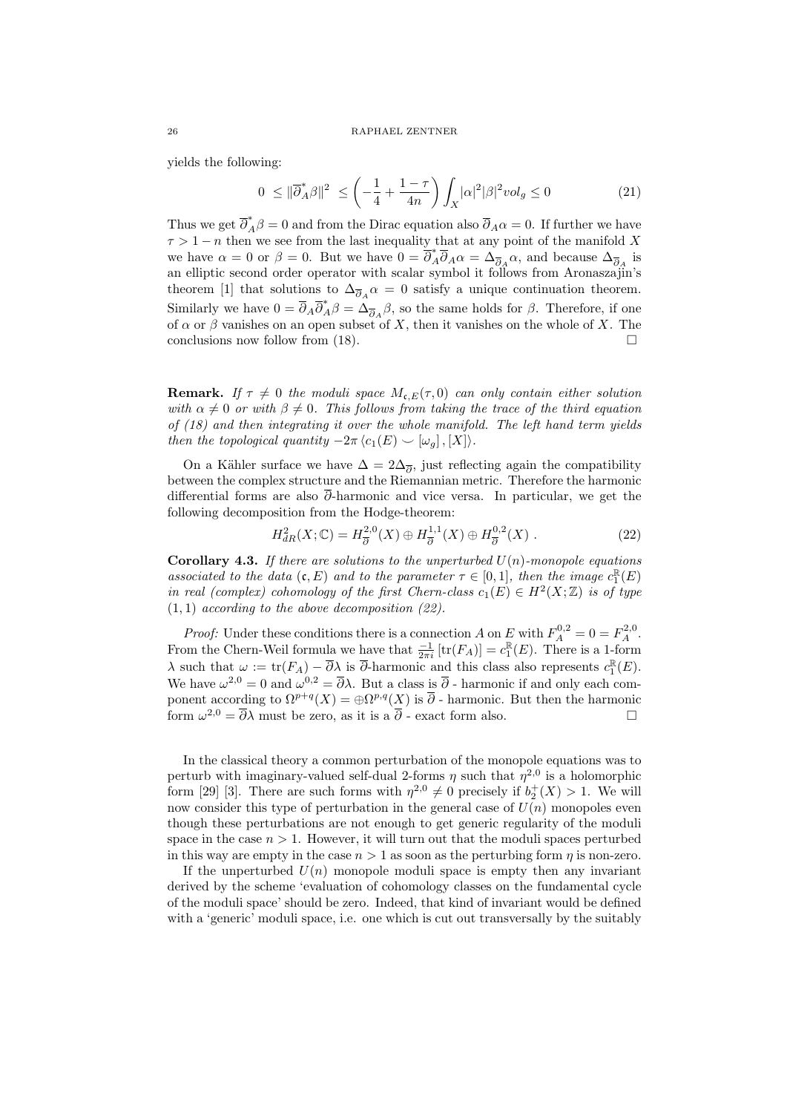yields the following:

$$
0 \leq \|\overline{\partial}_A^*\beta\|^2 \leq \left(-\frac{1}{4} + \frac{1-\tau}{4n}\right) \int_X |\alpha|^2 |\beta|^2 vol_g \leq 0 \tag{21}
$$

Thus we get  $\overline{\partial}_A^* \beta = 0$  and from the Dirac equation also  $\overline{\partial}_A \alpha = 0$ . If further we have  $\tau > 1 - n$  then we see from the last inequality that at any point of the manifold X we have  $\alpha = 0$  or  $\beta = 0$ . But we have  $0 = \overline{\partial}_{A}^{*} \overline{\partial}_{A} \alpha = \Delta_{\overline{\partial}_{A}} \alpha$ , and because  $\Delta_{\overline{\partial}_{A}}$  is an elliptic second order operator with scalar symbol it follows from Aronaszajin's theorem [1] that solutions to  $\Delta_{\overline{\partial}_A} \alpha = 0$  satisfy a unique continuation theorem. Similarly we have  $0 = \overline{\partial}_A \overline{\partial}_A^* \beta = \Delta_{\overline{\partial}_A} \beta$ , so the same holds for  $\beta$ . Therefore, if one of  $\alpha$  or  $\beta$  vanishes on an open subset of X, then it vanishes on the whole of X. The conclusions now follow from (18).

**Remark.** If  $\tau \neq 0$  the moduli space  $M_{\mathfrak{c},E}(\tau,0)$  can only contain either solution with  $\alpha \neq 0$  or with  $\beta \neq 0$ . This follows from taking the trace of the third equation of (18) and then integrating it over the whole manifold. The left hand term yields then the topological quantity  $-2\pi \langle c_1(E) \smile [\omega_q], [X] \rangle.$ 

On a Kähler surface we have  $\Delta = 2\Delta_{\overline{\partial}}$ , just reflecting again the compatibility between the complex structure and the Riemannian metric. Therefore the harmonic differential forms are also  $\bar{\partial}$ -harmonic and vice versa. In particular, we get the following decomposition from the Hodge-theorem:

$$
H_{dR}^{2}(X; \mathbb{C}) = H_{\overline{\partial}}^{2,0}(X) \oplus H_{\overline{\partial}}^{1,1}(X) \oplus H_{\overline{\partial}}^{0,2}(X) .
$$
 (22)

**Corollary 4.3.** If there are solutions to the unperturbed  $U(n)$ -monopole equations associated to the data  $(c, E)$  and to the parameter  $\tau \in [0, 1]$ , then the image  $c_1^{\mathbb{R}}(E)$ in real (complex) cohomology of the first Chern-class  $c_1(E) \in H^2(X;\mathbb{Z})$  is of type  $(1, 1)$  according to the above decomposition  $(22)$ .

*Proof:* Under these conditions there is a connection A on E with  $F_A^{0,2} = 0 = F_A^{2,0}$ . From the Chern-Weil formula we have that  $\frac{-1}{2\pi i}$  [tr(F<sub>A</sub>)] =  $c_1^{\mathbb{R}}(E)$ . There is a 1-form λ such that  $ω := \text{tr}(F_A) - \overline{\partial}λ$  is  $\overline{\partial}$ -harmonic and this class also represents  $c_1^{\mathbb{R}}(E)$ . We have  $\omega^{2,0} = 0$  and  $\omega^{0,2} = \overline{\partial}\lambda$ . But a class is  $\overline{\partial}$  - harmonic if and only each component according to  $\Omega^{p+q}(X) = \bigoplus \Omega^{p,q}(X)$  is  $\overline{\partial}$  - harmonic. But then the harmonic form  $\omega^{2,0} = \overline{\partial}\lambda$  must be zero, as it is a  $\overline{\partial}$  - exact form also.

In the classical theory a common perturbation of the monopole equations was to perturb with imaginary-valued self-dual 2-forms  $\eta$  such that  $\eta^{2,0}$  is a holomorphic form [29] [3]. There are such forms with  $\eta^{2,0} \neq 0$  precisely if  $b_2^+(X) > 1$ . We will now consider this type of perturbation in the general case of  $U(n)$  monopoles even though these perturbations are not enough to get generic regularity of the moduli space in the case  $n > 1$ . However, it will turn out that the moduli spaces perturbed in this way are empty in the case  $n > 1$  as soon as the perturbing form  $\eta$  is non-zero.

If the unperturbed  $U(n)$  monopole moduli space is empty then any invariant derived by the scheme 'evaluation of cohomology classes on the fundamental cycle of the moduli space' should be zero. Indeed, that kind of invariant would be defined with a 'generic' moduli space, i.e. one which is cut out transversally by the suitably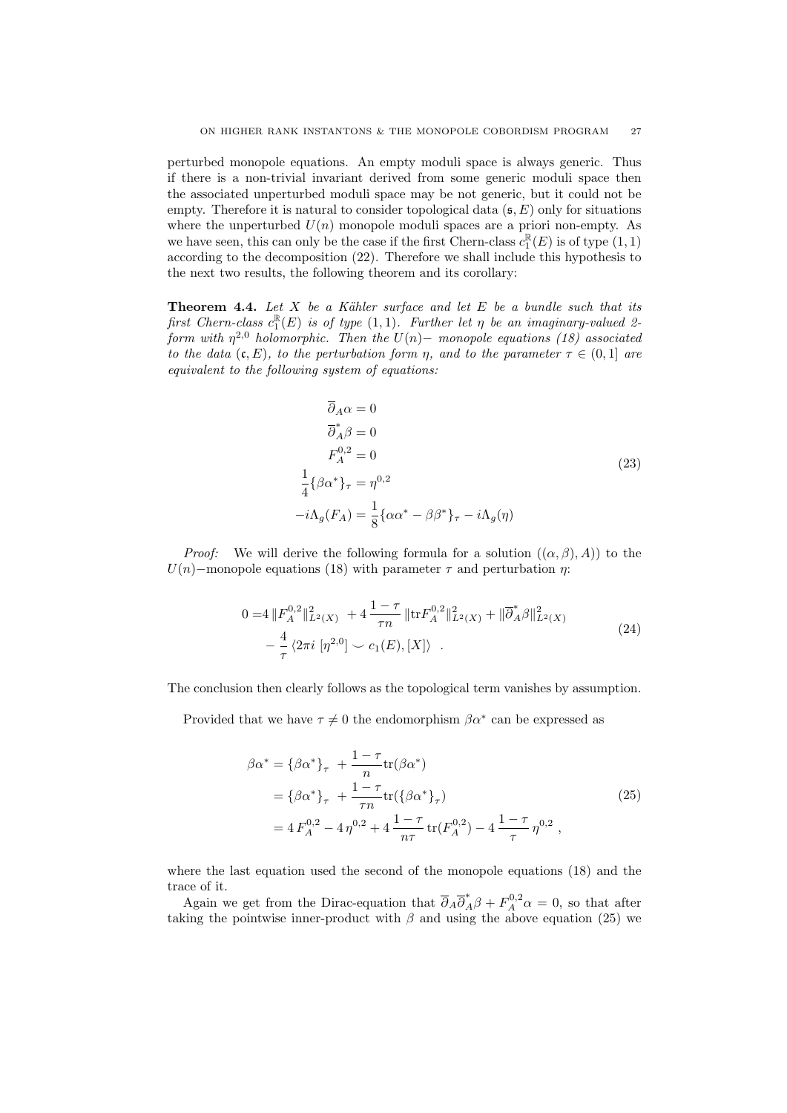perturbed monopole equations. An empty moduli space is always generic. Thus if there is a non-trivial invariant derived from some generic moduli space then the associated unperturbed moduli space may be not generic, but it could not be empty. Therefore it is natural to consider topological data  $(s, E)$  only for situations where the unperturbed  $U(n)$  monopole moduli spaces are a priori non-empty. As we have seen, this can only be the case if the first Chern-class  $c_1^{\mathbb{R}}(E)$  is of type  $(1, 1)$ according to the decomposition (22). Therefore we shall include this hypothesis to the next two results, the following theorem and its corollary:

**Theorem 4.4.** Let X be a Kähler surface and let E be a bundle such that its first Chern-class  $c_1^{\mathbb{R}}(E)$  is of type  $(1,1)$ . Further let  $\eta$  be an imaginary-valued 2form with  $\eta^{2,0}$  holomorphic. Then the  $U(n)$  – monopole equations (18) associated to the data  $(c, E)$ , to the perturbation form  $\eta$ , and to the parameter  $\tau \in (0, 1]$  are equivalent to the following system of equations:

$$
\overline{\partial}_{A}\alpha = 0
$$
  
\n
$$
\overline{\partial}_{A}^{*}\beta = 0
$$
  
\n
$$
F_{A}^{0,2} = 0
$$
  
\n
$$
\frac{1}{4}\{\beta\alpha^{*}\}_{\tau} = \eta^{0,2}
$$
  
\n
$$
-i\Lambda_{g}(F_{A}) = \frac{1}{8}\{\alpha\alpha^{*} - \beta\beta^{*}\}_{\tau} - i\Lambda_{g}(\eta)
$$
\n(23)

*Proof:* We will derive the following formula for a solution  $((\alpha, \beta), A)$  to the U(n)–monopole equations (18) with parameter  $\tau$  and perturbation  $\eta$ :

$$
0 = 4 \|F_A^{0,2}\|_{L^2(X)}^2 + 4 \frac{1-\tau}{\tau n} \|\text{tr} F_A^{0,2}\|_{L^2(X)}^2 + \|\overline{\partial}_A^* \beta\|_{L^2(X)}^2
$$
  

$$
- \frac{4}{\tau} \langle 2\pi i \left[ \eta^{2,0} \right] \smile c_1(E), [X] \rangle . \tag{24}
$$

The conclusion then clearly follows as the topological term vanishes by assumption.

Provided that we have  $\tau \neq 0$  the endomorphism  $\beta \alpha^*$  can be expressed as

$$
\beta \alpha^* = {\beta \alpha^*}_{\tau} + \frac{1 - \tau}{n} tr(\beta \alpha^*)
$$
  
=  ${\beta \alpha^*}_{\tau} + \frac{1 - \tau}{\tau n} tr({\beta \alpha^*}_{\tau})$   
=  $4 F_A^{0,2} - 4 \eta^{0,2} + 4 \frac{1 - \tau}{n\tau} tr(F_A^{0,2}) - 4 \frac{1 - \tau}{\tau} \eta^{0,2}$ , (25)

where the last equation used the second of the monopole equations (18) and the trace of it.

Again we get from the Dirac-equation that  $\overline{\partial}_A \overline{\partial}_A^* \beta + F_A^{0,2} \alpha = 0$ , so that after taking the pointwise inner-product with  $\beta$  and using the above equation (25) we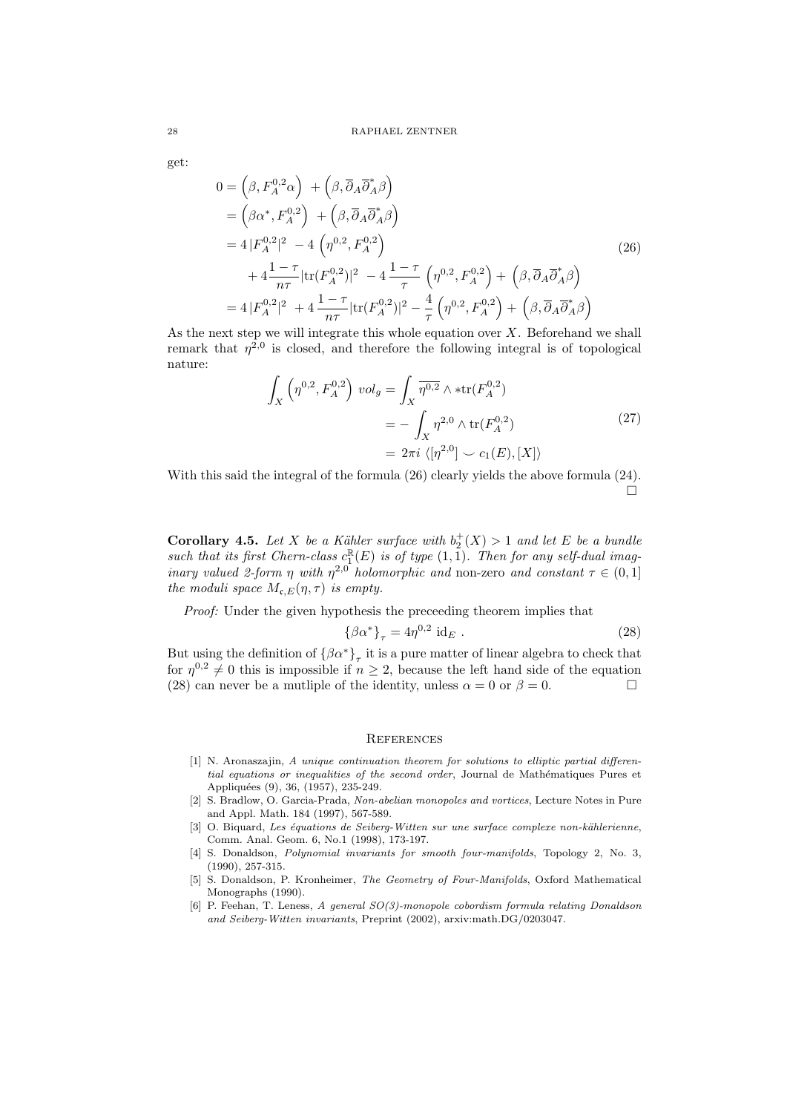get:

$$
0 = \left(\beta, F_A^{0,2}\alpha\right) + \left(\beta, \overline{\partial}_A \overline{\partial}_A^*\beta\right)
$$
  
\n
$$
= \left(\beta\alpha^*, F_A^{0,2}\right) + \left(\beta, \overline{\partial}_A \overline{\partial}_A^*\beta\right)
$$
  
\n
$$
= 4|F_A^{0,2}|^2 - 4\left(\eta^{0,2}, F_A^{0,2}\right)
$$
  
\n
$$
+ 4\frac{1-\tau}{n\tau}|\text{tr}(F_A^{0,2})|^2 - 4\frac{1-\tau}{\tau}\left(\eta^{0,2}, F_A^{0,2}\right) + \left(\beta, \overline{\partial}_A \overline{\partial}_A^*\beta\right)
$$
  
\n
$$
= 4|F_A^{0,2}|^2 + 4\frac{1-\tau}{n\tau}|\text{tr}(F_A^{0,2})|^2 - \frac{4}{\tau}\left(\eta^{0,2}, F_A^{0,2}\right) + \left(\beta, \overline{\partial}_A \overline{\partial}_A^*\beta\right)
$$
  
\n(26)

As the next step we will integrate this whole equation over  $X$ . Beforehand we shall remark that  $\eta^{2,0}$  is closed, and therefore the following integral is of topological nature:

$$
\int_{X} \left( \eta^{0,2}, F_A^{0,2} \right) \, vol_g = \int_{X} \overline{\eta^{0,2}} \wedge \ast \text{tr}(F_A^{0,2})
$$
\n
$$
= -\int_{X} \eta^{2,0} \wedge \text{tr}(F_A^{0,2})
$$
\n
$$
= 2\pi i \, \langle [\eta^{2,0}] \, \rangle \, c_1(E), [X] \rangle
$$
\n(27)

With this said the integral of the formula (26) clearly yields the above formula (24).  $\Box$ 

**Corollary 4.5.** Let X be a Kähler surface with  $b_2^+(X) > 1$  and let E be a bundle such that its first Chern-class  $c_1^{\mathbb{R}}(E)$  is of type  $(1,1)$ . Then for any self-dual imaginary valued 2-form  $\eta$  with  $\eta^{2,0}$  holomorphic and non-zero and constant  $\tau \in (0,1]$ the moduli space  $M_{\mathfrak{c},E}(\eta,\tau)$  is empty.

Proof: Under the given hypothesis the preceeding theorem implies that

$$
\{\beta\alpha^*\}_\tau = 4\eta^{0,2} \text{ id}_E . \tag{28}
$$

But using the definition of  $\{\beta\alpha^*\}_\tau$  it is a pure matter of linear algebra to check that for  $\eta^{0,2} \neq 0$  this is impossible if  $n \geq 2$ , because the left hand side of the equation (28) can never be a mutliple of the identity, unless  $\alpha = 0$  or  $\beta = 0$ .

#### **REFERENCES**

- [1] N. Aronaszajin, A unique continuation theorem for solutions to elliptic partial differential equations or inequalities of the second order, Journal de Mathématiques Pures et Appliquées (9), 36, (1957), 235-249.
- [2] S. Bradlow, O. Garcia-Prada, Non-abelian monopoles and vortices, Lecture Notes in Pure and Appl. Math. 184 (1997), 567-589.
- [3] O. Biquard, Les équations de Seiberg-Witten sur une surface complexe non-kählerienne, Comm. Anal. Geom. 6, No.1 (1998), 173-197.
- [4] S. Donaldson, *Polynomial invariants for smooth four-manifolds*, Topology 2, No. 3, (1990), 257-315.
- [5] S. Donaldson, P. Kronheimer, The Geometry of Four-Manifolds, Oxford Mathematical Monographs (1990).
- [6] P. Feehan, T. Leness, A general SO(3)-monopole cobordism formula relating Donaldson and Seiberg-Witten invariants, Preprint (2002), arxiv:math.DG/0203047.